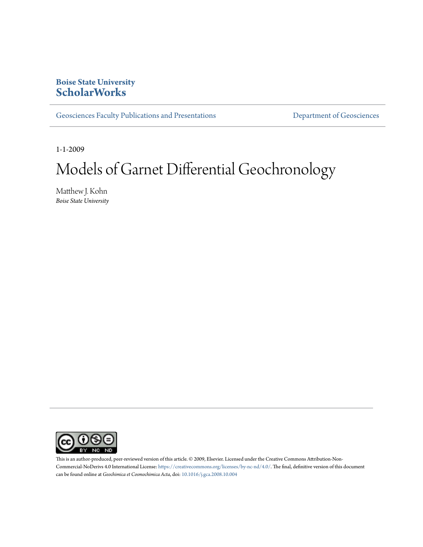### **Boise State University [ScholarWorks](https://scholarworks.boisestate.edu)**

[Geosciences Faculty Publications and Presentations](https://scholarworks.boisestate.edu/geo_facpubs) **Exercise Secure 2018** [Department of Geosciences](https://scholarworks.boisestate.edu/geosciences)

1-1-2009

# Models of Garnet Differential Geochronology

Matthew J. Kohn *Boise State University*



This is an author-produced, peer-reviewed version of this article. © 2009, Elsevier. Licensed under the Creative Commons Attribution-Non-Commercial-NoDerivs 4.0 International License: [https://creativecommons.org/licenses/by-nc-nd/4.0/.](https://creativecommons.org/licenses/by-nc-nd/4.0/) The final, definitive version of this document can be found online at *Geochimica et Cosmochimica Acta*, doi: [10.1016/j.gca.2008.10.004](http://dx.doi.org/10.1016/j.gca.2008.10.004)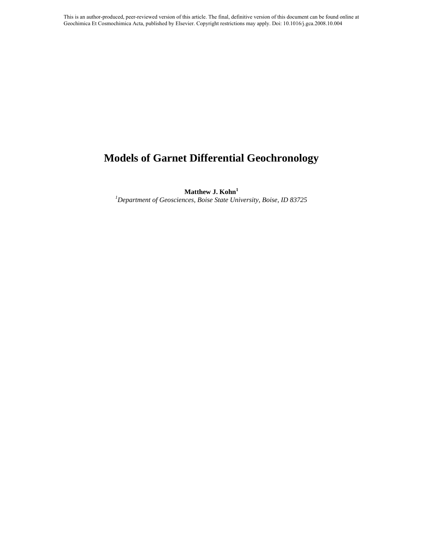# **Models of Garnet Differential Geochronology**

**Matthew J. Kohn<sup>1</sup>**

*<sup>1</sup>Department of Geosciences, Boise State University, Boise, ID 83725*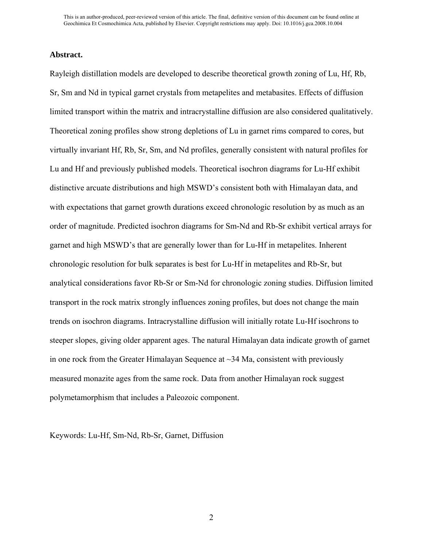#### **Abstract.**

Rayleigh distillation models are developed to describe theoretical growth zoning of Lu, Hf, Rb, Sr, Sm and Nd in typical garnet crystals from metapelites and metabasites. Effects of diffusion limited transport within the matrix and intracrystalline diffusion are also considered qualitatively. Theoretical zoning profiles show strong depletions of Lu in garnet rims compared to cores, but virtually invariant Hf, Rb, Sr, Sm, and Nd profiles, generally consistent with natural profiles for Lu and Hf and previously published models. Theoretical isochron diagrams for Lu-Hf exhibit distinctive arcuate distributions and high MSWD's consistent both with Himalayan data, and with expectations that garnet growth durations exceed chronologic resolution by as much as an order of magnitude. Predicted isochron diagrams for Sm-Nd and Rb-Sr exhibit vertical arrays for garnet and high MSWD's that are generally lower than for Lu-Hf in metapelites. Inherent chronologic resolution for bulk separates is best for Lu-Hf in metapelites and Rb-Sr, but analytical considerations favor Rb-Sr or Sm-Nd for chronologic zoning studies. Diffusion limited transport in the rock matrix strongly influences zoning profiles, but does not change the main trends on isochron diagrams. Intracrystalline diffusion will initially rotate Lu-Hf isochrons to steeper slopes, giving older apparent ages. The natural Himalayan data indicate growth of garnet in one rock from the Greater Himalayan Sequence at  $\sim$ 34 Ma, consistent with previously measured monazite ages from the same rock. Data from another Himalayan rock suggest polymetamorphism that includes a Paleozoic component.

Keywords: Lu-Hf, Sm-Nd, Rb-Sr, Garnet, Diffusion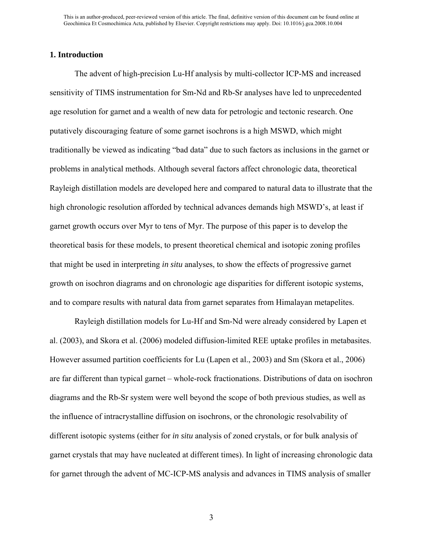#### **1. Introduction**

The advent of high-precision Lu-Hf analysis by multi-collector ICP-MS and increased sensitivity of TIMS instrumentation for Sm-Nd and Rb-Sr analyses have led to unprecedented age resolution for garnet and a wealth of new data for petrologic and tectonic research. One putatively discouraging feature of some garnet isochrons is a high MSWD, which might traditionally be viewed as indicating "bad data" due to such factors as inclusions in the garnet or problems in analytical methods. Although several factors affect chronologic data, theoretical Rayleigh distillation models are developed here and compared to natural data to illustrate that the high chronologic resolution afforded by technical advances demands high MSWD's, at least if garnet growth occurs over Myr to tens of Myr. The purpose of this paper is to develop the theoretical basis for these models, to present theoretical chemical and isotopic zoning profiles that might be used in interpreting *in situ* analyses, to show the effects of progressive garnet growth on isochron diagrams and on chronologic age disparities for different isotopic systems, and to compare results with natural data from garnet separates from Himalayan metapelites.

Rayleigh distillation models for Lu-Hf and Sm-Nd were already considered by Lapen et al. (2003), and Skora et al. (2006) modeled diffusion-limited REE uptake profiles in metabasites. However assumed partition coefficients for Lu (Lapen et al., 2003) and Sm (Skora et al., 2006) are far different than typical garnet – whole-rock fractionations. Distributions of data on isochron diagrams and the Rb-Sr system were well beyond the scope of both previous studies, as well as the influence of intracrystalline diffusion on isochrons, or the chronologic resolvability of different isotopic systems (either for *in situ* analysis of zoned crystals, or for bulk analysis of garnet crystals that may have nucleated at different times). In light of increasing chronologic data for garnet through the advent of MC-ICP-MS analysis and advances in TIMS analysis of smaller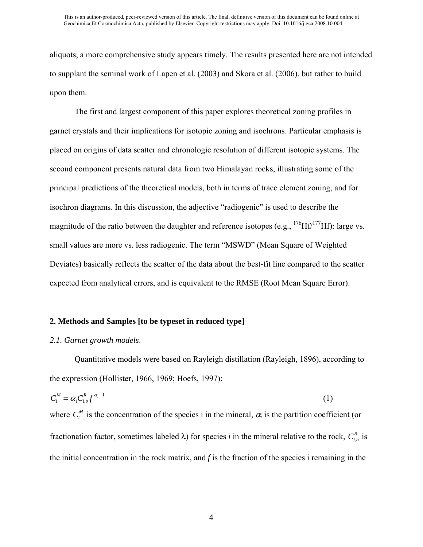aliquots, a more comprehensive study appears timely. The results presented here are not intended to supplant the seminal work of Lapen et al. (2003) and Skora et al. (2006), but rather to build upon them.

The first and largest component of this paper explores theoretical zoning profiles in garnet crystals and their implications for isotopic zoning and isochrons. Particular emphasis is placed on origins of data scatter and chronologic resolution of different isotopic systems. The second component presents natural data from two Himalayan rocks, illustrating some of the principal predictions of the theoretical models, both in terms of trace element zoning, and for isochron diagrams. In this discussion, the adjective "radiogenic" is used to describe the magnitude of the ratio between the daughter and reference isotopes (e.g.,  $^{176}Hf^{177}Hf$ ): large vs. small values are more vs. less radiogenic. The term "MSWD" (Mean Square of Weighted Deviates) basically reflects the scatter of the data about the best-fit line compared to the scatter expected from analytical errors, and is equivalent to the RMSE (Root Mean Square Error).

#### **2. Methods and Samples [to be typeset in reduced type]**

#### *2.1. Garnet growth models*.

Quantitative models were based on Rayleigh distillation (Rayleigh, 1896), according to the expression (Hollister, 1966, 1969; Hoefs, 1997):

$$
C_i^M = \alpha_i C_{i,o}^R f^{\alpha_i - 1} \tag{1}
$$

where  $C_i^M$  is the concentration of the species i in the mineral,  $\alpha_i$  is the partition coefficient (or fractionation factor, sometimes labeled  $\lambda$ ) for species *i* in the mineral relative to the rock,  $C_{i,o}^R$  is the initial concentration in the rock matrix, and *f* is the fraction of the species i remaining in the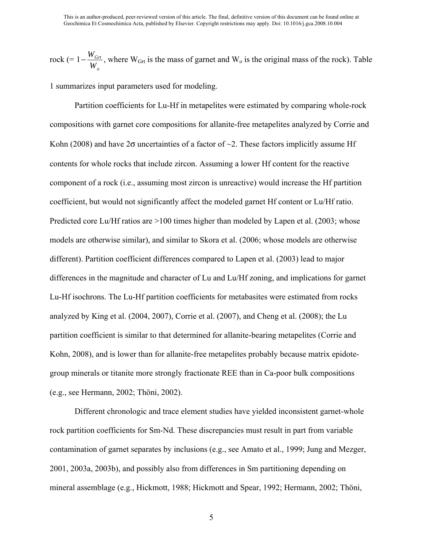rock (=  $1-\frac{W_{Grt}}{W}$ *Wo* , where  $W<sub>Grt</sub>$  is the mass of garnet and  $W<sub>o</sub>$  is the original mass of the rock). Table

1 summarizes input parameters used for modeling.

Partition coefficients for Lu-Hf in metapelites were estimated by comparing whole-rock compositions with garnet core compositions for allanite-free metapelites analyzed by Corrie and Kohn (2008) and have  $2\sigma$  uncertainties of a factor of  $\sim$ 2. These factors implicitly assume Hf contents for whole rocks that include zircon. Assuming a lower Hf content for the reactive component of a rock (i.e., assuming most zircon is unreactive) would increase the Hf partition coefficient, but would not significantly affect the modeled garnet Hf content or Lu/Hf ratio. Predicted core Lu/Hf ratios are >100 times higher than modeled by Lapen et al. (2003; whose models are otherwise similar), and similar to Skora et al. (2006; whose models are otherwise different). Partition coefficient differences compared to Lapen et al. (2003) lead to major differences in the magnitude and character of Lu and Lu/Hf zoning, and implications for garnet Lu-Hf isochrons. The Lu-Hf partition coefficients for metabasites were estimated from rocks analyzed by King et al. (2004, 2007), Corrie et al. (2007), and Cheng et al. (2008); the Lu partition coefficient is similar to that determined for allanite-bearing metapelites (Corrie and Kohn, 2008), and is lower than for allanite-free metapelites probably because matrix epidotegroup minerals or titanite more strongly fractionate REE than in Ca-poor bulk compositions (e.g., see Hermann, 2002; Thöni, 2002).

Different chronologic and trace element studies have yielded inconsistent garnet-whole rock partition coefficients for Sm-Nd. These discrepancies must result in part from variable contamination of garnet separates by inclusions (e.g., see Amato et al., 1999; Jung and Mezger, 2001, 2003a, 2003b), and possibly also from differences in Sm partitioning depending on mineral assemblage (e.g., Hickmott, 1988; Hickmott and Spear, 1992; Hermann, 2002; Thöni,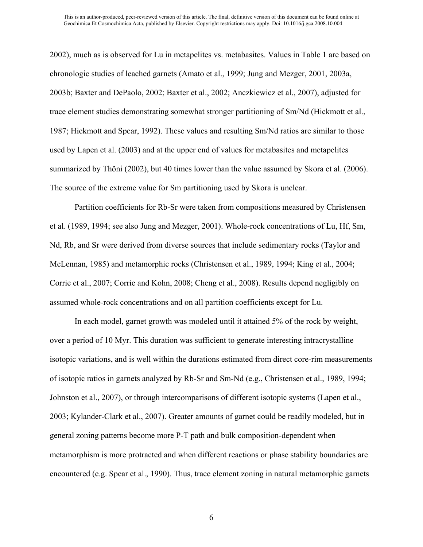2002), much as is observed for Lu in metapelites vs. metabasites. Values in Table 1 are based on chronologic studies of leached garnets (Amato et al., 1999; Jung and Mezger, 2001, 2003a, 2003b; Baxter and DePaolo, 2002; Baxter et al., 2002; Anczkiewicz et al., 2007), adjusted for trace element studies demonstrating somewhat stronger partitioning of Sm/Nd (Hickmott et al., 1987; Hickmott and Spear, 1992). These values and resulting Sm/Nd ratios are similar to those used by Lapen et al. (2003) and at the upper end of values for metabasites and metapelites summarized by Thöni (2002), but 40 times lower than the value assumed by Skora et al. (2006). The source of the extreme value for Sm partitioning used by Skora is unclear.

Partition coefficients for Rb-Sr were taken from compositions measured by Christensen et al. (1989, 1994; see also Jung and Mezger, 2001). Whole-rock concentrations of Lu, Hf, Sm, Nd, Rb, and Sr were derived from diverse sources that include sedimentary rocks (Taylor and McLennan, 1985) and metamorphic rocks (Christensen et al., 1989, 1994; King et al., 2004; Corrie et al., 2007; Corrie and Kohn, 2008; Cheng et al., 2008). Results depend negligibly on assumed whole-rock concentrations and on all partition coefficients except for Lu.

In each model, garnet growth was modeled until it attained 5% of the rock by weight, over a period of 10 Myr. This duration was sufficient to generate interesting intracrystalline isotopic variations, and is well within the durations estimated from direct core-rim measurements of isotopic ratios in garnets analyzed by Rb-Sr and Sm-Nd (e.g., Christensen et al., 1989, 1994; Johnston et al., 2007), or through intercomparisons of different isotopic systems (Lapen et al., 2003; Kylander-Clark et al., 2007). Greater amounts of garnet could be readily modeled, but in general zoning patterns become more P-T path and bulk composition-dependent when metamorphism is more protracted and when different reactions or phase stability boundaries are encountered (e.g. Spear et al., 1990). Thus, trace element zoning in natural metamorphic garnets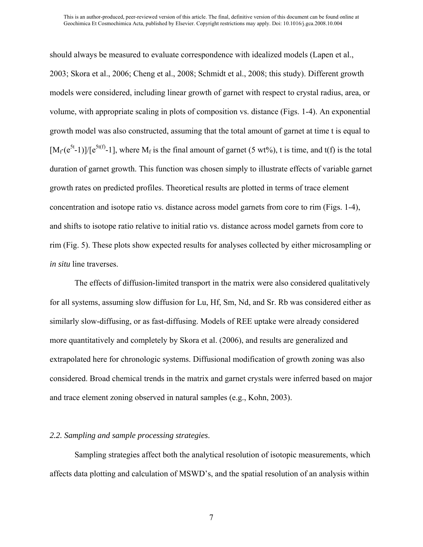should always be measured to evaluate correspondence with idealized models (Lapen et al., 2003; Skora et al., 2006; Cheng et al., 2008; Schmidt et al., 2008; this study). Different growth models were considered, including linear growth of garnet with respect to crystal radius, area, or volume, with appropriate scaling in plots of composition vs. distance (Figs. 1-4). An exponential growth model was also constructed, assuming that the total amount of garnet at time t is equal to  $[M_f(e^{5t}-1)]/[e^{5t(f)}-1]$ , where  $M_f$  is the final amount of garnet (5 wt%), t is time, and t(f) is the total duration of garnet growth. This function was chosen simply to illustrate effects of variable garnet growth rates on predicted profiles. Theoretical results are plotted in terms of trace element concentration and isotope ratio vs. distance across model garnets from core to rim (Figs. 1-4), and shifts to isotope ratio relative to initial ratio vs. distance across model garnets from core to rim (Fig. 5). These plots show expected results for analyses collected by either microsampling or *in situ* line traverses.

The effects of diffusion-limited transport in the matrix were also considered qualitatively for all systems, assuming slow diffusion for Lu, Hf, Sm, Nd, and Sr. Rb was considered either as similarly slow-diffusing, or as fast-diffusing. Models of REE uptake were already considered more quantitatively and completely by Skora et al. (2006), and results are generalized and extrapolated here for chronologic systems. Diffusional modification of growth zoning was also considered. Broad chemical trends in the matrix and garnet crystals were inferred based on major and trace element zoning observed in natural samples (e.g., Kohn, 2003).

#### *2.2. Sampling and sample processing strategies*.

Sampling strategies affect both the analytical resolution of isotopic measurements, which affects data plotting and calculation of MSWD's, and the spatial resolution of an analysis within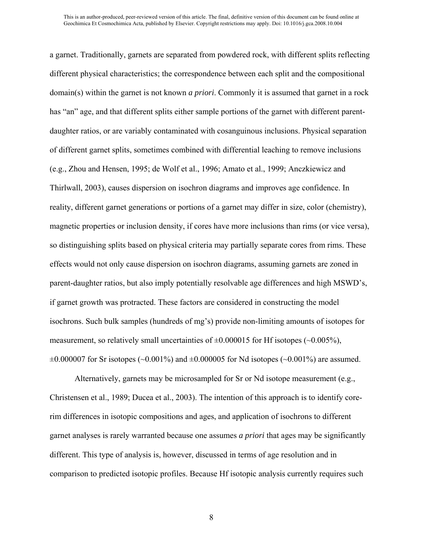a garnet. Traditionally, garnets are separated from powdered rock, with different splits reflecting different physical characteristics; the correspondence between each split and the compositional domain(s) within the garnet is not known *a priori*. Commonly it is assumed that garnet in a rock has "an" age, and that different splits either sample portions of the garnet with different parentdaughter ratios, or are variably contaminated with cosanguinous inclusions. Physical separation of different garnet splits, sometimes combined with differential leaching to remove inclusions (e.g., Zhou and Hensen, 1995; de Wolf et al., 1996; Amato et al., 1999; Anczkiewicz and Thirlwall, 2003), causes dispersion on isochron diagrams and improves age confidence. In reality, different garnet generations or portions of a garnet may differ in size, color (chemistry), magnetic properties or inclusion density, if cores have more inclusions than rims (or vice versa), so distinguishing splits based on physical criteria may partially separate cores from rims. These effects would not only cause dispersion on isochron diagrams, assuming garnets are zoned in parent-daughter ratios, but also imply potentially resolvable age differences and high MSWD's, if garnet growth was protracted. These factors are considered in constructing the model isochrons. Such bulk samples (hundreds of mg's) provide non-limiting amounts of isotopes for measurement, so relatively small uncertainties of  $\pm 0.000015$  for Hf isotopes ( $\sim 0.005\%$ ),  $\pm 0.000007$  for Sr isotopes (~0.001%) and  $\pm 0.000005$  for Nd isotopes (~0.001%) are assumed.

Alternatively, garnets may be microsampled for Sr or Nd isotope measurement (e.g., Christensen et al., 1989; Ducea et al., 2003). The intention of this approach is to identify corerim differences in isotopic compositions and ages, and application of isochrons to different garnet analyses is rarely warranted because one assumes *a priori* that ages may be significantly different. This type of analysis is, however, discussed in terms of age resolution and in comparison to predicted isotopic profiles. Because Hf isotopic analysis currently requires such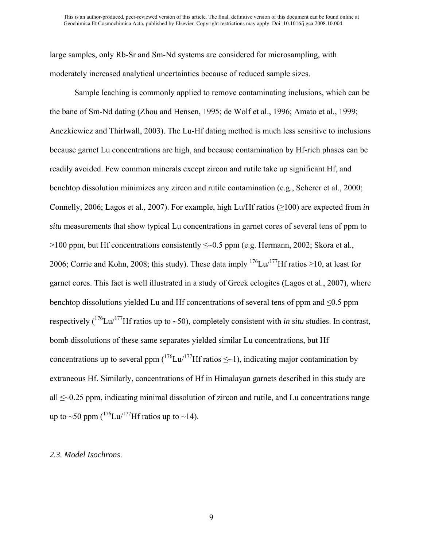large samples, only Rb-Sr and Sm-Nd systems are considered for microsampling, with moderately increased analytical uncertainties because of reduced sample sizes.

Sample leaching is commonly applied to remove contaminating inclusions, which can be the bane of Sm-Nd dating (Zhou and Hensen, 1995; de Wolf et al., 1996; Amato et al., 1999; Anczkiewicz and Thirlwall, 2003). The Lu-Hf dating method is much less sensitive to inclusions because garnet Lu concentrations are high, and because contamination by Hf-rich phases can be readily avoided. Few common minerals except zircon and rutile take up significant Hf, and benchtop dissolution minimizes any zircon and rutile contamination (e.g., Scherer et al., 2000; Connelly, 2006; Lagos et al., 2007). For example, high Lu/Hf ratios (≥100) are expected from *in situ* measurements that show typical Lu concentrations in garnet cores of several tens of ppm to  $>100$  ppm, but Hf concentrations consistently  $\leq 0.5$  ppm (e.g. Hermann, 2002; Skora et al., 2006; Corrie and Kohn, 2008; this study). These data imply <sup>176</sup>Lu/<sup>177</sup>Hf ratios ≥10, at least for garnet cores. This fact is well illustrated in a study of Greek eclogites (Lagos et al., 2007), where benchtop dissolutions yielded Lu and Hf concentrations of several tens of ppm and  $\leq 0.5$  ppm respectively  $({}^{176}$ Lu/<sup>177</sup>Hf ratios up to ~50), completely consistent with *in situ* studies. In contrast, bomb dissolutions of these same separates yielded similar Lu concentrations, but Hf concentrations up to several ppm  $\binom{176}{17}$  Hf ratios  $\leq$ -1), indicating major contamination by extraneous Hf. Similarly, concentrations of Hf in Himalayan garnets described in this study are all ≤~0.25 ppm, indicating minimal dissolution of zircon and rutile, and Lu concentrations range up to ~50 ppm  $\binom{176}{17}$ Hf ratios up to ~14).

#### *2.3. Model Isochrons*.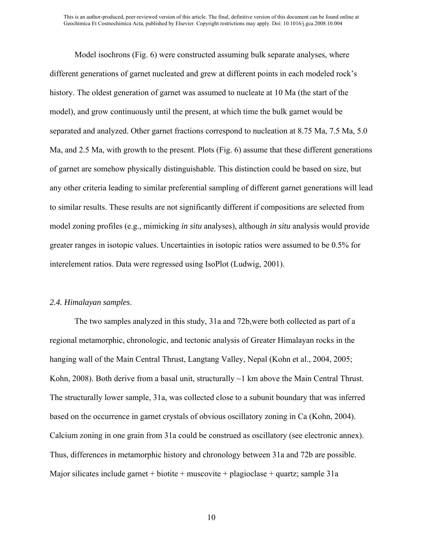Model isochrons (Fig. 6) were constructed assuming bulk separate analyses, where different generations of garnet nucleated and grew at different points in each modeled rock's history. The oldest generation of garnet was assumed to nucleate at 10 Ma (the start of the model), and grow continuously until the present, at which time the bulk garnet would be separated and analyzed. Other garnet fractions correspond to nucleation at 8.75 Ma, 7.5 Ma, 5.0 Ma, and 2.5 Ma, with growth to the present. Plots (Fig. 6) assume that these different generations of garnet are somehow physically distinguishable. This distinction could be based on size, but any other criteria leading to similar preferential sampling of different garnet generations will lead to similar results. These results are not significantly different if compositions are selected from model zoning profiles (e.g., mimicking *in situ* analyses), although *in situ* analysis would provide greater ranges in isotopic values. Uncertainties in isotopic ratios were assumed to be 0.5% for interelement ratios. Data were regressed using IsoPlot (Ludwig, 2001).

#### *2.4. Himalayan samples*.

The two samples analyzed in this study, 31a and 72b,were both collected as part of a regional metamorphic, chronologic, and tectonic analysis of Greater Himalayan rocks in the hanging wall of the Main Central Thrust, Langtang Valley, Nepal (Kohn et al., 2004, 2005; Kohn, 2008). Both derive from a basal unit, structurally  $\sim$ 1 km above the Main Central Thrust. The structurally lower sample, 31a, was collected close to a subunit boundary that was inferred based on the occurrence in garnet crystals of obvious oscillatory zoning in Ca (Kohn, 2004). Calcium zoning in one grain from 31a could be construed as oscillatory (see electronic annex). Thus, differences in metamorphic history and chronology between 31a and 72b are possible. Major silicates include garnet + biotite + muscovite + plagioclase + quartz; sample 31a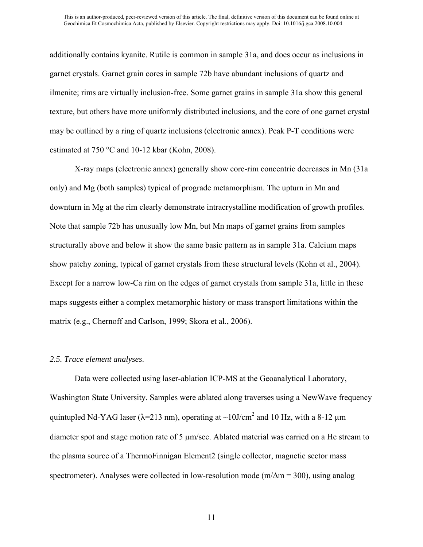additionally contains kyanite. Rutile is common in sample 31a, and does occur as inclusions in garnet crystals. Garnet grain cores in sample 72b have abundant inclusions of quartz and ilmenite; rims are virtually inclusion-free. Some garnet grains in sample 31a show this general texture, but others have more uniformly distributed inclusions, and the core of one garnet crystal may be outlined by a ring of quartz inclusions (electronic annex). Peak P-T conditions were estimated at 750 °C and 10-12 kbar (Kohn, 2008).

X-ray maps (electronic annex) generally show core-rim concentric decreases in Mn (31a only) and Mg (both samples) typical of prograde metamorphism. The upturn in Mn and downturn in Mg at the rim clearly demonstrate intracrystalline modification of growth profiles. Note that sample 72b has unusually low Mn, but Mn maps of garnet grains from samples structurally above and below it show the same basic pattern as in sample 31a. Calcium maps show patchy zoning, typical of garnet crystals from these structural levels (Kohn et al., 2004). Except for a narrow low-Ca rim on the edges of garnet crystals from sample 31a, little in these maps suggests either a complex metamorphic history or mass transport limitations within the matrix (e.g., Chernoff and Carlson, 1999; Skora et al., 2006).

#### *2.5. Trace element analyses*.

Data were collected using laser-ablation ICP-MS at the Geoanalytical Laboratory, Washington State University. Samples were ablated along traverses using a NewWave frequency quintupled Nd-YAG laser ( $\lambda$ =213 nm), operating at ~10J/cm<sup>2</sup> and 10 Hz, with a 8-12  $\mu$ m diameter spot and stage motion rate of 5 µm/sec. Ablated material was carried on a He stream to the plasma source of a ThermoFinnigan Element2 (single collector, magnetic sector mass spectrometer). Analyses were collected in low-resolution mode ( $m/\Delta m = 300$ ), using analog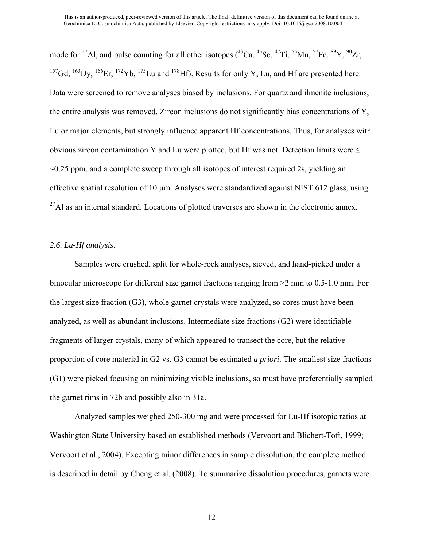mode for <sup>27</sup>Al, and pulse counting for all other isotopes (<sup>43</sup>Ca, <sup>45</sup>Sc, <sup>47</sup>Ti, <sup>55</sup>Mn, <sup>57</sup>Fe, <sup>89</sup>Y, <sup>90</sup>Zr, <sup>157</sup>Gd, <sup>163</sup>Dy, <sup>166</sup>Er, <sup>172</sup>Yb, <sup>175</sup>Lu and <sup>178</sup>Hf). Results for only Y, Lu, and Hf are presented here. Data were screened to remove analyses biased by inclusions. For quartz and ilmenite inclusions, the entire analysis was removed. Zircon inclusions do not significantly bias concentrations of Y, Lu or major elements, but strongly influence apparent Hf concentrations. Thus, for analyses with obvious zircon contamination Y and Lu were plotted, but Hf was not. Detection limits were  $\leq$  $\sim$ 0.25 ppm, and a complete sweep through all isotopes of interest required 2s, yielding an effective spatial resolution of 10 µm. Analyses were standardized against NIST 612 glass, using  $^{27}$ Al as an internal standard. Locations of plotted traverses are shown in the electronic annex.

#### *2.6. Lu-Hf analysis*.

Samples were crushed, split for whole-rock analyses, sieved, and hand-picked under a binocular microscope for different size garnet fractions ranging from >2 mm to 0.5-1.0 mm. For the largest size fraction (G3), whole garnet crystals were analyzed, so cores must have been analyzed, as well as abundant inclusions. Intermediate size fractions (G2) were identifiable fragments of larger crystals, many of which appeared to transect the core, but the relative proportion of core material in G2 vs. G3 cannot be estimated *a priori*. The smallest size fractions (G1) were picked focusing on minimizing visible inclusions, so must have preferentially sampled the garnet rims in 72b and possibly also in 31a.

Analyzed samples weighed 250-300 mg and were processed for Lu-Hf isotopic ratios at Washington State University based on established methods (Vervoort and Blichert-Toft, 1999; Vervoort et al., 2004). Excepting minor differences in sample dissolution, the complete method is described in detail by Cheng et al. (2008). To summarize dissolution procedures, garnets were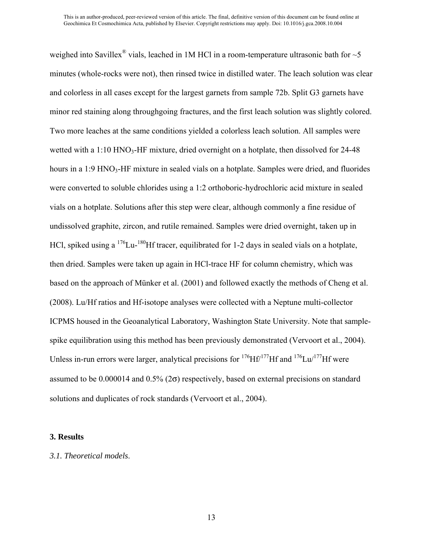weighed into Savillex<sup>®</sup> vials, leached in 1M HCl in a room-temperature ultrasonic bath for  $\sim$  5 minutes (whole-rocks were not), then rinsed twice in distilled water. The leach solution was clear and colorless in all cases except for the largest garnets from sample 72b. Split G3 garnets have minor red staining along throughgoing fractures, and the first leach solution was slightly colored. Two more leaches at the same conditions yielded a colorless leach solution. All samples were wetted with a  $1:10 \text{ HNO}_3$ -HF mixture, dried overnight on a hotplate, then dissolved for 24-48 hours in a 1:9 HNO<sub>3</sub>-HF mixture in sealed vials on a hotplate. Samples were dried, and fluorides were converted to soluble chlorides using a 1:2 orthoboric-hydrochloric acid mixture in sealed vials on a hotplate. Solutions after this step were clear, although commonly a fine residue of undissolved graphite, zircon, and rutile remained. Samples were dried overnight, taken up in HCl, spiked using a  $176$ Lu- $180$ Hf tracer, equilibrated for 1-2 days in sealed vials on a hotplate, then dried. Samples were taken up again in HCl-trace HF for column chemistry, which was based on the approach of Münker et al. (2001) and followed exactly the methods of Cheng et al. (2008). Lu/Hf ratios and Hf-isotope analyses were collected with a Neptune multi-collector ICPMS housed in the Geoanalytical Laboratory, Washington State University. Note that samplespike equilibration using this method has been previously demonstrated (Vervoort et al., 2004). Unless in-run errors were larger, analytical precisions for  $176$ Hf $/177$ Hf and  $176$ Lu $/177$ Hf were assumed to be  $0.000014$  and  $0.5\%$  ( $2\sigma$ ) respectively, based on external precisions on standard solutions and duplicates of rock standards (Vervoort et al., 2004).

#### **3. Results**

#### *3.1. Theoretical models*.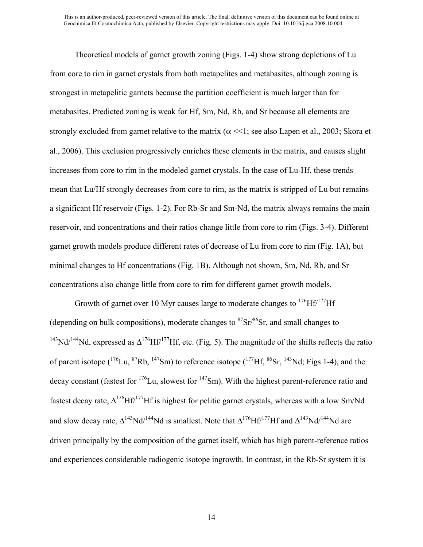Theoretical models of garnet growth zoning (Figs. 1-4) show strong depletions of Lu from core to rim in garnet crystals from both metapelites and metabasites, although zoning is strongest in metapelitic garnets because the partition coefficient is much larger than for metabasites. Predicted zoning is weak for Hf, Sm, Nd, Rb, and Sr because all elements are strongly excluded from garnet relative to the matrix ( $\alpha \ll 1$ ; see also Lapen et al., 2003; Skora et al., 2006). This exclusion progressively enriches these elements in the matrix, and causes slight increases from core to rim in the modeled garnet crystals. In the case of Lu-Hf, these trends mean that Lu/Hf strongly decreases from core to rim, as the matrix is stripped of Lu but remains a significant Hf reservoir (Figs. 1-2). For Rb-Sr and Sm-Nd, the matrix always remains the main reservoir, and concentrations and their ratios change little from core to rim (Figs. 3-4). Different garnet growth models produce different rates of decrease of Lu from core to rim (Fig. 1A), but minimal changes to Hf concentrations (Fig. 1B). Although not shown, Sm, Nd, Rb, and Sr concentrations also change little from core to rim for different garnet growth models.

Growth of garnet over 10 Myr causes large to moderate changes to  $176$ Hf/ $177$ Hf (depending on bulk compositions), moderate changes to  ${}^{87}Sr/{}^{86}Sr$ , and small changes to <sup>143</sup>Nd/<sup>144</sup>Nd, expressed as  $\Delta^{176}$ Hf/<sup>177</sup>Hf, etc. (Fig. 5). The magnitude of the shifts reflects the ratio of parent isotope  $\binom{176}{16}$ Lu,  $\binom{87}{8}$ Rb,  $\binom{147}{8}$ Sm) to reference isotope  $\binom{177}{16}$   $\binom{86}{5}$ r,  $\binom{143}{6}$ Nd; Figs 1-4), and the decay constant (fastest for  $176$ Lu, slowest for  $147$ Sm). With the highest parent-reference ratio and fastest decay rate,  $\Delta^{176}$ Hf<sup>/177</sup>Hf is highest for pelitic garnet crystals, whereas with a low Sm/Nd and slow decay rate,  $\Delta^{143}Nd^{144}Nd$  is smallest. Note that  $\Delta^{176}Hf^{177}Hf$  and  $\Delta^{143}Nd^{144}Nd$  are driven principally by the composition of the garnet itself, which has high parent-reference ratios and experiences considerable radiogenic isotope ingrowth. In contrast, in the Rb-Sr system it is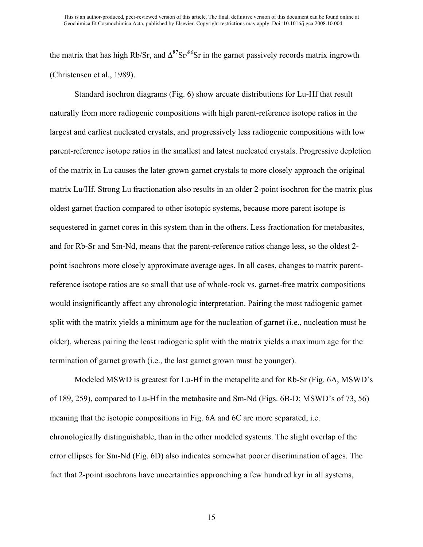the matrix that has high Rb/Sr, and  $\Delta^{87}$ Sr<sup>/86</sup>Sr in the garnet passively records matrix ingrowth (Christensen et al., 1989).

Standard isochron diagrams (Fig. 6) show arcuate distributions for Lu-Hf that result naturally from more radiogenic compositions with high parent-reference isotope ratios in the largest and earliest nucleated crystals, and progressively less radiogenic compositions with low parent-reference isotope ratios in the smallest and latest nucleated crystals. Progressive depletion of the matrix in Lu causes the later-grown garnet crystals to more closely approach the original matrix Lu/Hf. Strong Lu fractionation also results in an older 2-point isochron for the matrix plus oldest garnet fraction compared to other isotopic systems, because more parent isotope is sequestered in garnet cores in this system than in the others. Less fractionation for metabasites, and for Rb-Sr and Sm-Nd, means that the parent-reference ratios change less, so the oldest 2 point isochrons more closely approximate average ages. In all cases, changes to matrix parentreference isotope ratios are so small that use of whole-rock vs. garnet-free matrix compositions would insignificantly affect any chronologic interpretation. Pairing the most radiogenic garnet split with the matrix yields a minimum age for the nucleation of garnet (i.e., nucleation must be older), whereas pairing the least radiogenic split with the matrix yields a maximum age for the termination of garnet growth (i.e., the last garnet grown must be younger).

Modeled MSWD is greatest for Lu-Hf in the metapelite and for Rb-Sr (Fig. 6A, MSWD's of 189, 259), compared to Lu-Hf in the metabasite and Sm-Nd (Figs. 6B-D; MSWD's of 73, 56) meaning that the isotopic compositions in Fig. 6A and 6C are more separated, i.e. chronologically distinguishable, than in the other modeled systems. The slight overlap of the error ellipses for Sm-Nd (Fig. 6D) also indicates somewhat poorer discrimination of ages. The fact that 2-point isochrons have uncertainties approaching a few hundred kyr in all systems,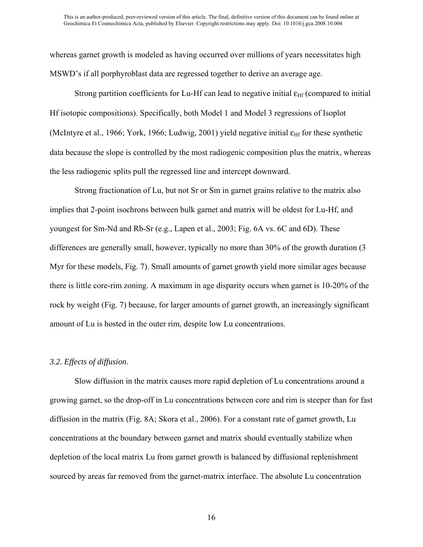whereas garnet growth is modeled as having occurred over millions of years necessitates high MSWD's if all porphyroblast data are regressed together to derive an average age.

Strong partition coefficients for Lu-Hf can lead to negative initial  $\varepsilon_{\text{Hf}}$  (compared to initial Hf isotopic compositions). Specifically, both Model 1 and Model 3 regressions of Isoplot (McIntyre et al., 1966; York, 1966; Ludwig, 2001) yield negative initial  $\varepsilon$ <sub>Hf</sub> for these synthetic data because the slope is controlled by the most radiogenic composition plus the matrix, whereas the less radiogenic splits pull the regressed line and intercept downward.

Strong fractionation of Lu, but not Sr or Sm in garnet grains relative to the matrix also implies that 2-point isochrons between bulk garnet and matrix will be oldest for Lu-Hf, and youngest for Sm-Nd and Rb-Sr (e.g., Lapen et al., 2003; Fig. 6A vs. 6C and 6D). These differences are generally small, however, typically no more than 30% of the growth duration (3 Myr for these models, Fig. 7). Small amounts of garnet growth yield more similar ages because there is little core-rim zoning. A maximum in age disparity occurs when garnet is 10-20% of the rock by weight (Fig. 7) because, for larger amounts of garnet growth, an increasingly significant amount of Lu is hosted in the outer rim, despite low Lu concentrations.

#### *3.2. Effects of diffusion*.

Slow diffusion in the matrix causes more rapid depletion of Lu concentrations around a growing garnet, so the drop-off in Lu concentrations between core and rim is steeper than for fast diffusion in the matrix (Fig. 8A; Skora et al., 2006). For a constant rate of garnet growth, Lu concentrations at the boundary between garnet and matrix should eventually stabilize when depletion of the local matrix Lu from garnet growth is balanced by diffusional replenishment sourced by areas far removed from the garnet-matrix interface. The absolute Lu concentration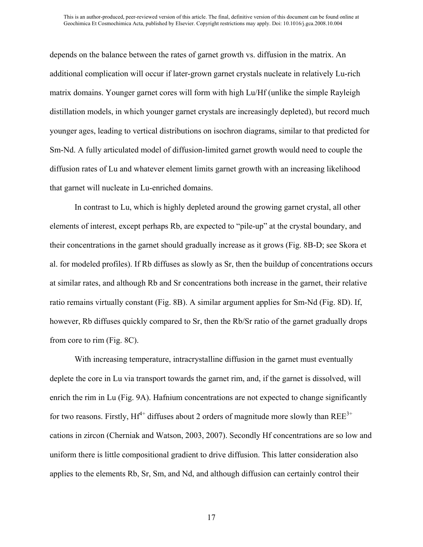depends on the balance between the rates of garnet growth vs. diffusion in the matrix. An additional complication will occur if later-grown garnet crystals nucleate in relatively Lu-rich matrix domains. Younger garnet cores will form with high Lu/Hf (unlike the simple Rayleigh distillation models, in which younger garnet crystals are increasingly depleted), but record much younger ages, leading to vertical distributions on isochron diagrams, similar to that predicted for Sm-Nd. A fully articulated model of diffusion-limited garnet growth would need to couple the diffusion rates of Lu and whatever element limits garnet growth with an increasing likelihood that garnet will nucleate in Lu-enriched domains.

In contrast to Lu, which is highly depleted around the growing garnet crystal, all other elements of interest, except perhaps Rb, are expected to "pile-up" at the crystal boundary, and their concentrations in the garnet should gradually increase as it grows (Fig. 8B-D; see Skora et al. for modeled profiles). If Rb diffuses as slowly as Sr, then the buildup of concentrations occurs at similar rates, and although Rb and Sr concentrations both increase in the garnet, their relative ratio remains virtually constant (Fig. 8B). A similar argument applies for Sm-Nd (Fig. 8D). If, however, Rb diffuses quickly compared to Sr, then the Rb/Sr ratio of the garnet gradually drops from core to rim (Fig. 8C).

With increasing temperature, intracrystalline diffusion in the garnet must eventually deplete the core in Lu via transport towards the garnet rim, and, if the garnet is dissolved, will enrich the rim in Lu (Fig. 9A). Hafnium concentrations are not expected to change significantly for two reasons. Firstly,  $Hf^{4+}$  diffuses about 2 orders of magnitude more slowly than  $REE^{3+}$ cations in zircon (Cherniak and Watson, 2003, 2007). Secondly Hf concentrations are so low and uniform there is little compositional gradient to drive diffusion. This latter consideration also applies to the elements Rb, Sr, Sm, and Nd, and although diffusion can certainly control their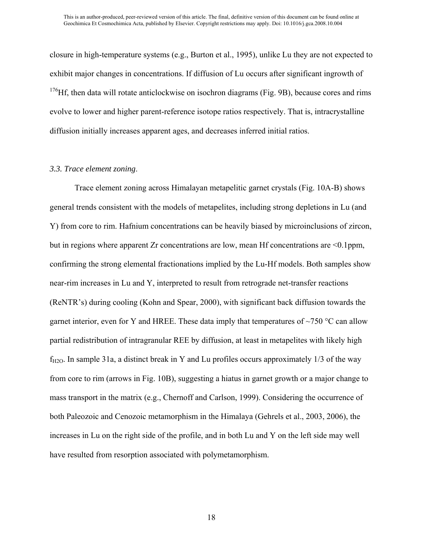closure in high-temperature systems (e.g., Burton et al., 1995), unlike Lu they are not expected to exhibit major changes in concentrations. If diffusion of Lu occurs after significant ingrowth of  $176$ Hf, then data will rotate anticlockwise on isochron diagrams (Fig. 9B), because cores and rims evolve to lower and higher parent-reference isotope ratios respectively. That is, intracrystalline diffusion initially increases apparent ages, and decreases inferred initial ratios.

#### *3.3. Trace element zoning*.

Trace element zoning across Himalayan metapelitic garnet crystals (Fig. 10A-B) shows general trends consistent with the models of metapelites, including strong depletions in Lu (and Y) from core to rim. Hafnium concentrations can be heavily biased by microinclusions of zircon, but in regions where apparent Zr concentrations are low, mean Hf concentrations are  $\leq 0.1$ ppm, confirming the strong elemental fractionations implied by the Lu-Hf models. Both samples show near-rim increases in Lu and Y, interpreted to result from retrograde net-transfer reactions (ReNTR's) during cooling (Kohn and Spear, 2000), with significant back diffusion towards the garnet interior, even for Y and HREE. These data imply that temperatures of  $\sim$ 750 °C can allow partial redistribution of intragranular REE by diffusion, at least in metapelites with likely high  $f_{H2O}$ . In sample 31a, a distinct break in Y and Lu profiles occurs approximately 1/3 of the way from core to rim (arrows in Fig. 10B), suggesting a hiatus in garnet growth or a major change to mass transport in the matrix (e.g., Chernoff and Carlson, 1999). Considering the occurrence of both Paleozoic and Cenozoic metamorphism in the Himalaya (Gehrels et al., 2003, 2006), the increases in Lu on the right side of the profile, and in both Lu and Y on the left side may well have resulted from resorption associated with polymetamorphism.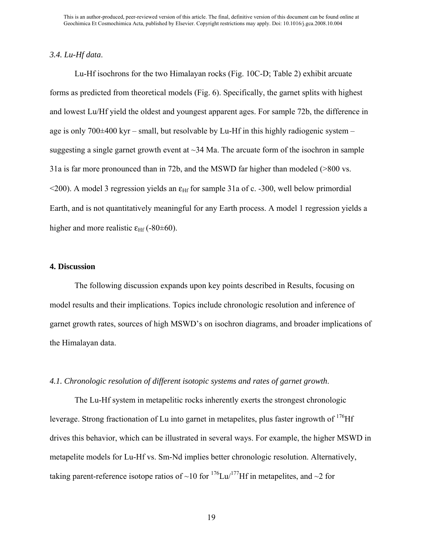#### *3.4. Lu-Hf data*.

Lu-Hf isochrons for the two Himalayan rocks (Fig. 10C-D; Table 2) exhibit arcuate forms as predicted from theoretical models (Fig. 6). Specifically, the garnet splits with highest and lowest Lu/Hf yield the oldest and youngest apparent ages. For sample 72b, the difference in age is only  $700\pm400$  kyr – small, but resolvable by Lu-Hf in this highly radiogenic system – suggesting a single garnet growth event at  $\sim$ 34 Ma. The arcuate form of the isochron in sample 31a is far more pronounced than in 72b, and the MSWD far higher than modeled (>800 vs.  $\leq$ 200). A model 3 regression yields an  $\varepsilon$ <sub>Hf</sub> for sample 31a of c. -300, well below primordial Earth, and is not quantitatively meaningful for any Earth process. A model 1 regression yields a higher and more realistic  $\varepsilon_{\text{Hf}}$  (-80±60).

#### **4. Discussion**

The following discussion expands upon key points described in Results, focusing on model results and their implications. Topics include chronologic resolution and inference of garnet growth rates, sources of high MSWD's on isochron diagrams, and broader implications of the Himalayan data.

#### *4.1. Chronologic resolution of different isotopic systems and rates of garnet growth*.

The Lu-Hf system in metapelitic rocks inherently exerts the strongest chronologic leverage. Strong fractionation of Lu into garnet in metapelites, plus faster ingrowth of <sup>176</sup>Hf drives this behavior, which can be illustrated in several ways. For example, the higher MSWD in metapelite models for Lu-Hf vs. Sm-Nd implies better chronologic resolution. Alternatively, taking parent-reference isotope ratios of ~10 for  $^{176}$ Lu/<sup>177</sup>Hf in metapelites, and ~2 for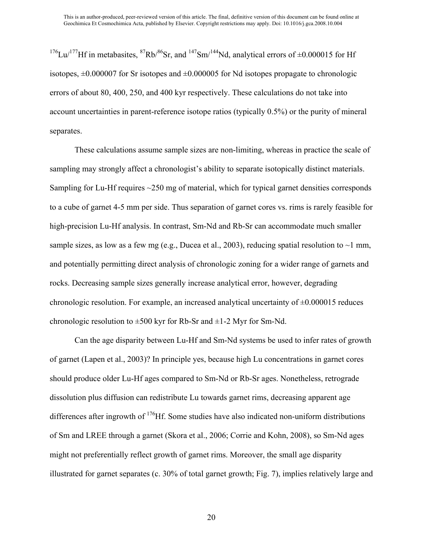<sup>176</sup>Lu/<sup>177</sup>Hf in metabasites, <sup>87</sup>Rb/<sup>86</sup>Sr, and <sup>147</sup>Sm/<sup>144</sup>Nd, analytical errors of  $\pm 0.000015$  for Hf isotopes,  $\pm 0.000007$  for Sr isotopes and  $\pm 0.000005$  for Nd isotopes propagate to chronologic errors of about 80, 400, 250, and 400 kyr respectively. These calculations do not take into account uncertainties in parent-reference isotope ratios (typically 0.5%) or the purity of mineral separates.

These calculations assume sample sizes are non-limiting, whereas in practice the scale of sampling may strongly affect a chronologist's ability to separate isotopically distinct materials. Sampling for Lu-Hf requires ~250 mg of material, which for typical garnet densities corresponds to a cube of garnet 4-5 mm per side. Thus separation of garnet cores vs. rims is rarely feasible for high-precision Lu-Hf analysis. In contrast, Sm-Nd and Rb-Sr can accommodate much smaller sample sizes, as low as a few mg (e.g., Ducea et al., 2003), reducing spatial resolution to  $\sim$ 1 mm, and potentially permitting direct analysis of chronologic zoning for a wider range of garnets and rocks. Decreasing sample sizes generally increase analytical error, however, degrading chronologic resolution. For example, an increased analytical uncertainty of  $\pm 0.000015$  reduces chronologic resolution to  $\pm 500$  kyr for Rb-Sr and  $\pm 1$ -2 Myr for Sm-Nd.

Can the age disparity between Lu-Hf and Sm-Nd systems be used to infer rates of growth of garnet (Lapen et al., 2003)? In principle yes, because high Lu concentrations in garnet cores should produce older Lu-Hf ages compared to Sm-Nd or Rb-Sr ages. Nonetheless, retrograde dissolution plus diffusion can redistribute Lu towards garnet rims, decreasing apparent age differences after ingrowth of <sup>176</sup>Hf. Some studies have also indicated non-uniform distributions of Sm and LREE through a garnet (Skora et al., 2006; Corrie and Kohn, 2008), so Sm-Nd ages might not preferentially reflect growth of garnet rims. Moreover, the small age disparity illustrated for garnet separates (c. 30% of total garnet growth; Fig. 7), implies relatively large and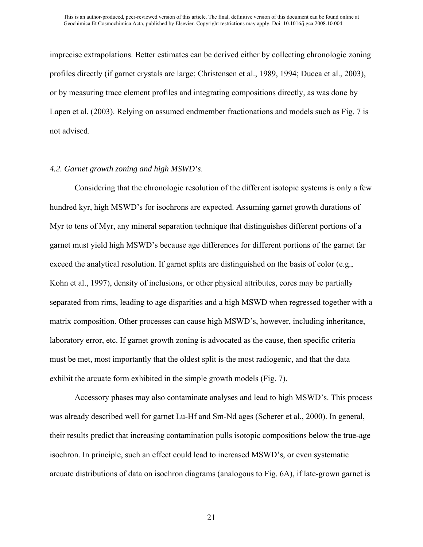imprecise extrapolations. Better estimates can be derived either by collecting chronologic zoning profiles directly (if garnet crystals are large; Christensen et al., 1989, 1994; Ducea et al., 2003), or by measuring trace element profiles and integrating compositions directly, as was done by Lapen et al. (2003). Relying on assumed endmember fractionations and models such as Fig. 7 is not advised.

#### *4.2. Garnet growth zoning and high MSWD's*.

Considering that the chronologic resolution of the different isotopic systems is only a few hundred kyr, high MSWD's for isochrons are expected. Assuming garnet growth durations of Myr to tens of Myr, any mineral separation technique that distinguishes different portions of a garnet must yield high MSWD's because age differences for different portions of the garnet far exceed the analytical resolution. If garnet splits are distinguished on the basis of color (e.g., Kohn et al., 1997), density of inclusions, or other physical attributes, cores may be partially separated from rims, leading to age disparities and a high MSWD when regressed together with a matrix composition. Other processes can cause high MSWD's, however, including inheritance, laboratory error, etc. If garnet growth zoning is advocated as the cause, then specific criteria must be met, most importantly that the oldest split is the most radiogenic, and that the data exhibit the arcuate form exhibited in the simple growth models (Fig. 7).

Accessory phases may also contaminate analyses and lead to high MSWD's. This process was already described well for garnet Lu-Hf and Sm-Nd ages (Scherer et al., 2000). In general, their results predict that increasing contamination pulls isotopic compositions below the true-age isochron. In principle, such an effect could lead to increased MSWD's, or even systematic arcuate distributions of data on isochron diagrams (analogous to Fig. 6A), if late-grown garnet is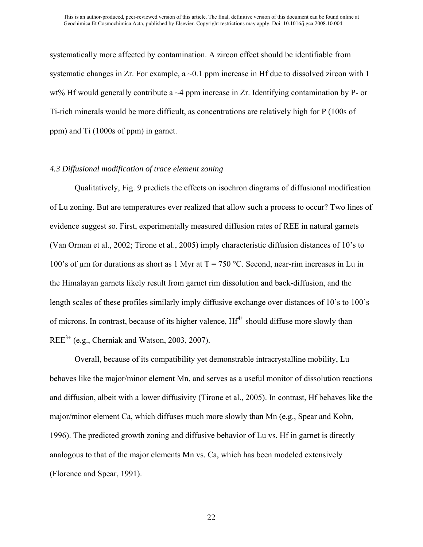systematically more affected by contamination. A zircon effect should be identifiable from systematic changes in Zr. For example,  $a \sim 0.1$  ppm increase in Hf due to dissolved zircon with 1 wt% Hf would generally contribute a  $\sim$ 4 ppm increase in Zr. Identifying contamination by P- or Ti-rich minerals would be more difficult, as concentrations are relatively high for P (100s of ppm) and Ti (1000s of ppm) in garnet.

#### *4.3 Diffusional modification of trace element zoning*

Qualitatively, Fig. 9 predicts the effects on isochron diagrams of diffusional modification of Lu zoning. But are temperatures ever realized that allow such a process to occur? Two lines of evidence suggest so. First, experimentally measured diffusion rates of REE in natural garnets (Van Orman et al., 2002; Tirone et al., 2005) imply characteristic diffusion distances of 10's to 100's of  $\mu$ m for durations as short as 1 Myr at T = 750 °C. Second, near-rim increases in Lu in the Himalayan garnets likely result from garnet rim dissolution and back-diffusion, and the length scales of these profiles similarly imply diffusive exchange over distances of 10's to 100's of microns. In contrast, because of its higher valence,  $Hf^{4+}$  should diffuse more slowly than  $REE<sup>3+</sup> (e.g., Cherniak and Watson, 2003, 2007).$ 

Overall, because of its compatibility yet demonstrable intracrystalline mobility, Lu behaves like the major/minor element Mn, and serves as a useful monitor of dissolution reactions and diffusion, albeit with a lower diffusivity (Tirone et al., 2005). In contrast, Hf behaves like the major/minor element Ca, which diffuses much more slowly than Mn (e.g., Spear and Kohn, 1996). The predicted growth zoning and diffusive behavior of Lu vs. Hf in garnet is directly analogous to that of the major elements Mn vs. Ca, which has been modeled extensively (Florence and Spear, 1991).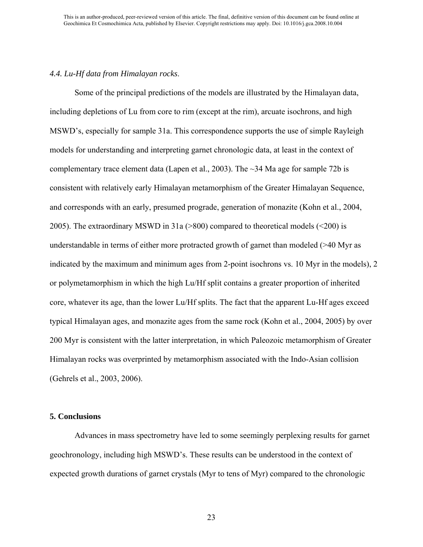#### *4.4. Lu-Hf data from Himalayan rocks*.

Some of the principal predictions of the models are illustrated by the Himalayan data, including depletions of Lu from core to rim (except at the rim), arcuate isochrons, and high MSWD's, especially for sample 31a. This correspondence supports the use of simple Rayleigh models for understanding and interpreting garnet chronologic data, at least in the context of complementary trace element data (Lapen et al., 2003). The ~34 Ma age for sample 72b is consistent with relatively early Himalayan metamorphism of the Greater Himalayan Sequence, and corresponds with an early, presumed prograde, generation of monazite (Kohn et al., 2004, 2005). The extraordinary MSWD in 31a (>800) compared to theoretical models (<200) is understandable in terms of either more protracted growth of garnet than modeled (>40 Myr as indicated by the maximum and minimum ages from 2-point isochrons vs. 10 Myr in the models), 2 or polymetamorphism in which the high Lu/Hf split contains a greater proportion of inherited core, whatever its age, than the lower Lu/Hf splits. The fact that the apparent Lu-Hf ages exceed typical Himalayan ages, and monazite ages from the same rock (Kohn et al., 2004, 2005) by over 200 Myr is consistent with the latter interpretation, in which Paleozoic metamorphism of Greater Himalayan rocks was overprinted by metamorphism associated with the Indo-Asian collision (Gehrels et al., 2003, 2006).

#### **5. Conclusions**

Advances in mass spectrometry have led to some seemingly perplexing results for garnet geochronology, including high MSWD's. These results can be understood in the context of expected growth durations of garnet crystals (Myr to tens of Myr) compared to the chronologic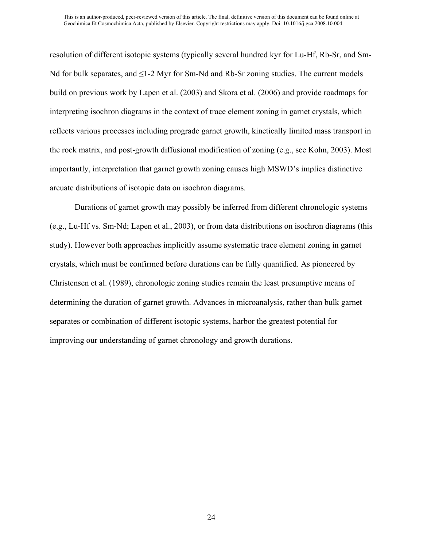resolution of different isotopic systems (typically several hundred kyr for Lu-Hf, Rb-Sr, and Sm-Nd for bulk separates, and  $\leq$ 1-2 Myr for Sm-Nd and Rb-Sr zoning studies. The current models build on previous work by Lapen et al. (2003) and Skora et al. (2006) and provide roadmaps for interpreting isochron diagrams in the context of trace element zoning in garnet crystals, which reflects various processes including prograde garnet growth, kinetically limited mass transport in the rock matrix, and post-growth diffusional modification of zoning (e.g., see Kohn, 2003). Most importantly, interpretation that garnet growth zoning causes high MSWD's implies distinctive arcuate distributions of isotopic data on isochron diagrams.

Durations of garnet growth may possibly be inferred from different chronologic systems (e.g., Lu-Hf vs. Sm-Nd; Lapen et al., 2003), or from data distributions on isochron diagrams (this study). However both approaches implicitly assume systematic trace element zoning in garnet crystals, which must be confirmed before durations can be fully quantified. As pioneered by Christensen et al. (1989), chronologic zoning studies remain the least presumptive means of determining the duration of garnet growth. Advances in microanalysis, rather than bulk garnet separates or combination of different isotopic systems, harbor the greatest potential for improving our understanding of garnet chronology and growth durations.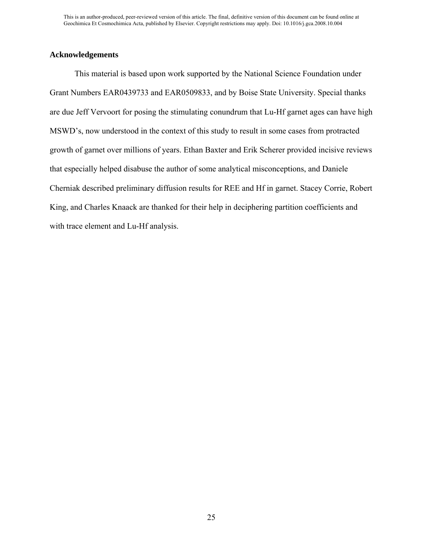#### **Acknowledgements**

This material is based upon work supported by the National Science Foundation under Grant Numbers EAR0439733 and EAR0509833, and by Boise State University. Special thanks are due Jeff Vervoort for posing the stimulating conundrum that Lu-Hf garnet ages can have high MSWD's, now understood in the context of this study to result in some cases from protracted growth of garnet over millions of years. Ethan Baxter and Erik Scherer provided incisive reviews that especially helped disabuse the author of some analytical misconceptions, and Daniele Cherniak described preliminary diffusion results for REE and Hf in garnet. Stacey Corrie, Robert King, and Charles Knaack are thanked for their help in deciphering partition coefficients and with trace element and Lu-Hf analysis.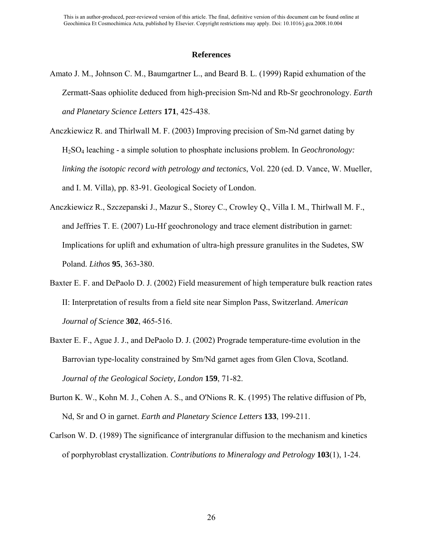#### **References**

- Amato J. M., Johnson C. M., Baumgartner L., and Beard B. L. (1999) Rapid exhumation of the Zermatt-Saas ophiolite deduced from high-precision Sm-Nd and Rb-Sr geochronology. *Earth and Planetary Science Letters* **171**, 425-438.
- Anczkiewicz R. and Thirlwall M. F. (2003) Improving precision of Sm-Nd garnet dating by H2SO4 leaching - a simple solution to phosphate inclusions problem. In *Geochronology: linking the isotopic record with petrology and tectonics*, Vol. 220 (ed. D. Vance, W. Mueller, and I. M. Villa), pp. 83-91. Geological Society of London.
- Anczkiewicz R., Szczepanski J., Mazur S., Storey C., Crowley Q., Villa I. M., Thirlwall M. F., and Jeffries T. E. (2007) Lu-Hf geochronology and trace element distribution in garnet: Implications for uplift and exhumation of ultra-high pressure granulites in the Sudetes, SW Poland. *Lithos* **95**, 363-380.
- Baxter E. F. and DePaolo D. J. (2002) Field measurement of high temperature bulk reaction rates II: Interpretation of results from a field site near Simplon Pass, Switzerland. *American Journal of Science* **302**, 465-516.
- Baxter E. F., Ague J. J., and DePaolo D. J. (2002) Prograde temperature-time evolution in the Barrovian type-locality constrained by Sm/Nd garnet ages from Glen Clova, Scotland. *Journal of the Geological Society, London* **159**, 71-82.
- Burton K. W., Kohn M. J., Cohen A. S., and O'Nions R. K. (1995) The relative diffusion of Pb, Nd, Sr and O in garnet. *Earth and Planetary Science Letters* **133**, 199-211.
- Carlson W. D. (1989) The significance of intergranular diffusion to the mechanism and kinetics of porphyroblast crystallization. *Contributions to Mineralogy and Petrology* **103**(1), 1-24.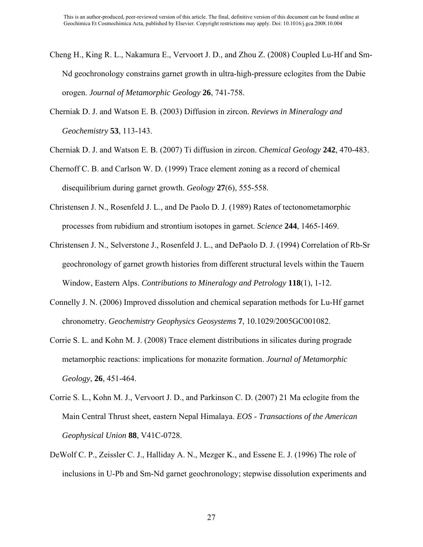- Cheng H., King R. L., Nakamura E., Vervoort J. D., and Zhou Z. (2008) Coupled Lu-Hf and Sm-Nd geochronology constrains garnet growth in ultra-high-pressure eclogites from the Dabie orogen. *Journal of Metamorphic Geology* **26**, 741-758.
- Cherniak D. J. and Watson E. B. (2003) Diffusion in zircon. *Reviews in Mineralogy and Geochemistry* **53**, 113-143.
- Cherniak D. J. and Watson E. B. (2007) Ti diffusion in zircon. *Chemical Geology* **242**, 470-483.

Chernoff C. B. and Carlson W. D. (1999) Trace element zoning as a record of chemical disequilibrium during garnet growth. *Geology* **27**(6), 555-558.

- Christensen J. N., Rosenfeld J. L., and De Paolo D. J. (1989) Rates of tectonometamorphic processes from rubidium and strontium isotopes in garnet. *Science* **244**, 1465-1469.
- Christensen J. N., Selverstone J., Rosenfeld J. L., and DePaolo D. J. (1994) Correlation of Rb-Sr geochronology of garnet growth histories from different structural levels within the Tauern Window, Eastern Alps. *Contributions to Mineralogy and Petrology* **118**(1), 1-12.
- Connelly J. N. (2006) Improved dissolution and chemical separation methods for Lu-Hf garnet chronometry. *Geochemistry Geophysics Geosystems* **7**, 10.1029/2005GC001082.
- Corrie S. L. and Kohn M. J. (2008) Trace element distributions in silicates during prograde metamorphic reactions: implications for monazite formation. *Journal of Metamorphic Geology*, **26**, 451-464.
- Corrie S. L., Kohn M. J., Vervoort J. D., and Parkinson C. D. (2007) 21 Ma eclogite from the Main Central Thrust sheet, eastern Nepal Himalaya. *EOS - Transactions of the American Geophysical Union* **88**, V41C-0728.
- DeWolf C. P., Zeissler C. J., Halliday A. N., Mezger K., and Essene E. J. (1996) The role of inclusions in U-Pb and Sm-Nd garnet geochronology; stepwise dissolution experiments and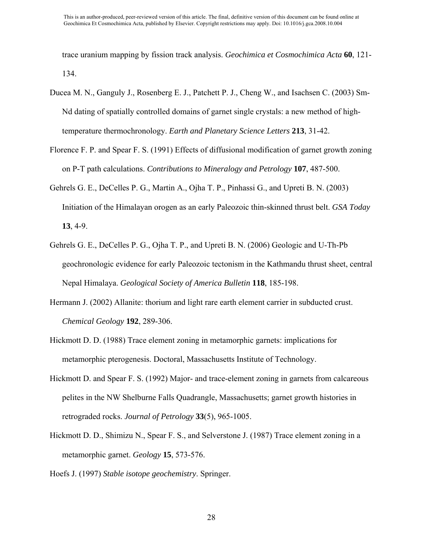trace uranium mapping by fission track analysis. *Geochimica et Cosmochimica Acta* **60**, 121- 134.

- Ducea M. N., Ganguly J., Rosenberg E. J., Patchett P. J., Cheng W., and Isachsen C. (2003) Sm-Nd dating of spatially controlled domains of garnet single crystals: a new method of hightemperature thermochronology. *Earth and Planetary Science Letters* **213**, 31-42.
- Florence F. P. and Spear F. S. (1991) Effects of diffusional modification of garnet growth zoning on P-T path calculations. *Contributions to Mineralogy and Petrology* **107**, 487-500.
- Gehrels G. E., DeCelles P. G., Martin A., Ojha T. P., Pinhassi G., and Upreti B. N. (2003) Initiation of the Himalayan orogen as an early Paleozoic thin-skinned thrust belt. *GSA Today* **13**, 4-9.
- Gehrels G. E., DeCelles P. G., Ojha T. P., and Upreti B. N. (2006) Geologic and U-Th-Pb geochronologic evidence for early Paleozoic tectonism in the Kathmandu thrust sheet, central Nepal Himalaya. *Geological Society of America Bulletin* **118**, 185-198.
- Hermann J. (2002) Allanite: thorium and light rare earth element carrier in subducted crust. *Chemical Geology* **192**, 289-306.
- Hickmott D. D. (1988) Trace element zoning in metamorphic garnets: implications for metamorphic pterogenesis. Doctoral, Massachusetts Institute of Technology.
- Hickmott D. and Spear F. S. (1992) Major- and trace-element zoning in garnets from calcareous pelites in the NW Shelburne Falls Quadrangle, Massachusetts; garnet growth histories in retrograded rocks. *Journal of Petrology* **33**(5), 965-1005.
- Hickmott D. D., Shimizu N., Spear F. S., and Selverstone J. (1987) Trace element zoning in a metamorphic garnet. *Geology* **15**, 573-576.

Hoefs J. (1997) *Stable isotope geochemistry*. Springer.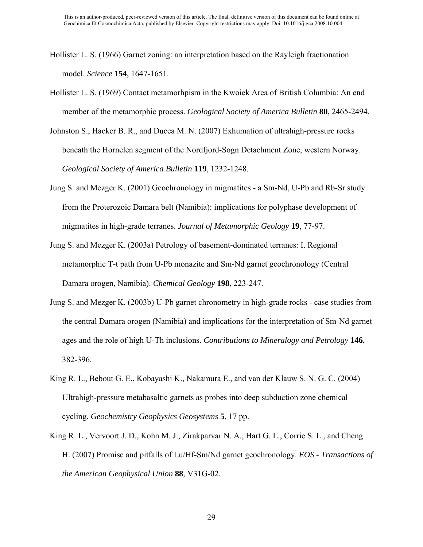- Hollister L. S. (1966) Garnet zoning: an interpretation based on the Rayleigh fractionation model. *Science* **154**, 1647-1651.
- Hollister L. S. (1969) Contact metamorhpism in the Kwoiek Area of British Columbia: An end member of the metamorphic process. *Geological Society of America Bulletin* **80**, 2465-2494.
- Johnston S., Hacker B. R., and Ducea M. N. (2007) Exhumation of ultrahigh-pressure rocks beneath the Hornelen segment of the Nordfjord-Sogn Detachment Zone, western Norway. *Geological Society of America Bulletin* **119**, 1232-1248.
- Jung S. and Mezger K. (2001) Geochronology in migmatites a Sm-Nd, U-Pb and Rb-Sr study from the Proterozoic Damara belt (Namibia): implications for polyphase development of migmatites in high-grade terranes. *Journal of Metamorphic Geology* **19**, 77-97.
- Jung S. and Mezger K. (2003a) Petrology of basement-dominated terranes: I. Regional metamorphic T-t path from U-Pb monazite and Sm-Nd garnet geochronology (Central Damara orogen, Namibia). *Chemical Geology* **198**, 223-247.
- Jung S. and Mezger K. (2003b) U-Pb garnet chronometry in high-grade rocks case studies from the central Damara orogen (Namibia) and implications for the interpretation of Sm-Nd garnet ages and the role of high U-Th inclusions. *Contributions to Mineralogy and Petrology* **146**, 382-396.
- King R. L., Bebout G. E., Kobayashi K., Nakamura E., and van der Klauw S. N. G. C. (2004) Ultrahigh-pressure metabasaltic garnets as probes into deep subduction zone chemical cycling. *Geochemistry Geophysics Geosystems* **5**, 17 pp.
- King R. L., Vervoort J. D., Kohn M. J., Zirakparvar N. A., Hart G. L., Corrie S. L., and Cheng H. (2007) Promise and pitfalls of Lu/Hf-Sm/Nd garnet geochronology. *EOS - Transactions of the American Geophysical Union* **88**, V31G-02.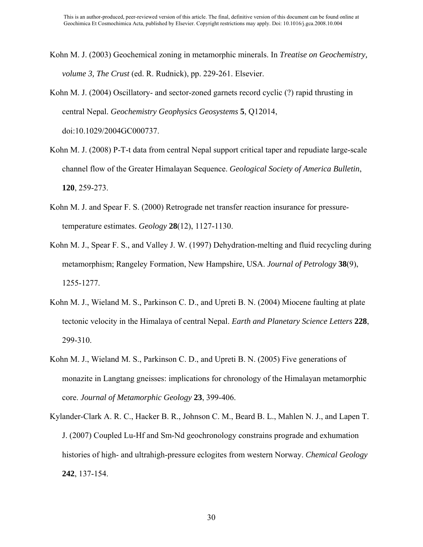- Kohn M. J. (2003) Geochemical zoning in metamorphic minerals. In *Treatise on Geochemistry, volume 3, The Crust* (ed. R. Rudnick), pp. 229-261. Elsevier.
- Kohn M. J. (2004) Oscillatory- and sector-zoned garnets record cyclic (?) rapid thrusting in central Nepal. *Geochemistry Geophysics Geosystems* **5**, Q12014, doi:10.1029/2004GC000737.
- Kohn M. J. (2008) P-T-t data from central Nepal support critical taper and repudiate large-scale channel flow of the Greater Himalayan Sequence. *Geological Society of America Bulletin*, **120**, 259-273.
- Kohn M. J. and Spear F. S. (2000) Retrograde net transfer reaction insurance for pressuretemperature estimates. *Geology* **28**(12), 1127-1130.
- Kohn M. J., Spear F. S., and Valley J. W. (1997) Dehydration-melting and fluid recycling during metamorphism; Rangeley Formation, New Hampshire, USA. *Journal of Petrology* **38**(9), 1255-1277.
- Kohn M. J., Wieland M. S., Parkinson C. D., and Upreti B. N. (2004) Miocene faulting at plate tectonic velocity in the Himalaya of central Nepal. *Earth and Planetary Science Letters* **228**, 299-310.
- Kohn M. J., Wieland M. S., Parkinson C. D., and Upreti B. N. (2005) Five generations of monazite in Langtang gneisses: implications for chronology of the Himalayan metamorphic core. *Journal of Metamorphic Geology* **23**, 399-406.
- Kylander-Clark A. R. C., Hacker B. R., Johnson C. M., Beard B. L., Mahlen N. J., and Lapen T. J. (2007) Coupled Lu-Hf and Sm-Nd geochronology constrains prograde and exhumation histories of high- and ultrahigh-pressure eclogites from western Norway. *Chemical Geology* **242**, 137-154.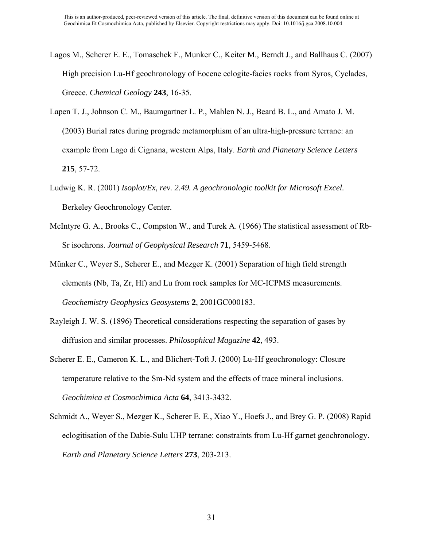- Lagos M., Scherer E. E., Tomaschek F., Munker C., Keiter M., Berndt J., and Ballhaus C. (2007) High precision Lu-Hf geochronology of Eocene eclogite-facies rocks from Syros, Cyclades, Greece. *Chemical Geology* **243**, 16-35.
- Lapen T. J., Johnson C. M., Baumgartner L. P., Mahlen N. J., Beard B. L., and Amato J. M. (2003) Burial rates during prograde metamorphism of an ultra-high-pressure terrane: an example from Lago di Cignana, western Alps, Italy. *Earth and Planetary Science Letters* **215**, 57-72.
- Ludwig K. R. (2001) *Isoplot/Ex, rev. 2.49. A geochronologic toolkit for Microsoft Excel.* Berkeley Geochronology Center.
- McIntyre G. A., Brooks C., Compston W., and Turek A. (1966) The statistical assessment of Rb-Sr isochrons. *Journal of Geophysical Research* **71**, 5459-5468.
- Münker C., Weyer S., Scherer E., and Mezger K. (2001) Separation of high field strength elements (Nb, Ta, Zr, Hf) and Lu from rock samples for MC-ICPMS measurements. *Geochemistry Geophysics Geosystems* **2**, 2001GC000183.
- Rayleigh J. W. S. (1896) Theoretical considerations respecting the separation of gases by diffusion and similar processes. *Philosophical Magazine* **42**, 493.
- Scherer E. E., Cameron K. L., and Blichert-Toft J. (2000) Lu-Hf geochronology: Closure temperature relative to the Sm-Nd system and the effects of trace mineral inclusions. *Geochimica et Cosmochimica Acta* **64**, 3413-3432.
- Schmidt A., Weyer S., Mezger K., Scherer E. E., Xiao Y., Hoefs J., and Brey G. P. (2008) Rapid eclogitisation of the Dabie-Sulu UHP terrane: constraints from Lu-Hf garnet geochronology. *Earth and Planetary Science Letters* **273**, 203-213.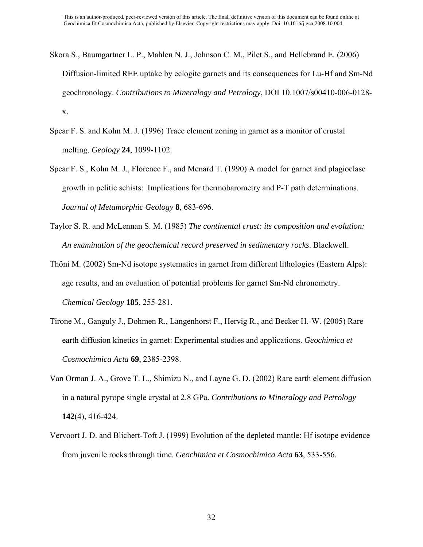- Skora S., Baumgartner L. P., Mahlen N. J., Johnson C. M., Pilet S., and Hellebrand E. (2006) Diffusion-limited REE uptake by eclogite garnets and its consequences for Lu-Hf and Sm-Nd geochronology. *Contributions to Mineralogy and Petrology*, DOI 10.1007/s00410-006-0128 x.
- Spear F. S. and Kohn M. J. (1996) Trace element zoning in garnet as a monitor of crustal melting. *Geology* **24**, 1099-1102.
- Spear F. S., Kohn M. J., Florence F., and Menard T. (1990) A model for garnet and plagioclase growth in pelitic schists: Implications for thermobarometry and P-T path determinations. *Journal of Metamorphic Geology* **8**, 683-696.
- Taylor S. R. and McLennan S. M. (1985) *The continental crust: its composition and evolution: An examination of the geochemical record preserved in sedimentary rocks*. Blackwell.
- Thöni M. (2002) Sm-Nd isotope systematics in garnet from different lithologies (Eastern Alps): age results, and an evaluation of potential problems for garnet Sm-Nd chronometry. *Chemical Geology* **185**, 255-281.
- Tirone M., Ganguly J., Dohmen R., Langenhorst F., Hervig R., and Becker H.-W. (2005) Rare earth diffusion kinetics in garnet: Experimental studies and applications. *Geochimica et Cosmochimica Acta* **69**, 2385-2398.
- Van Orman J. A., Grove T. L., Shimizu N., and Layne G. D. (2002) Rare earth element diffusion in a natural pyrope single crystal at 2.8 GPa. *Contributions to Mineralogy and Petrology* **142**(4), 416-424.
- Vervoort J. D. and Blichert-Toft J. (1999) Evolution of the depleted mantle: Hf isotope evidence from juvenile rocks through time. *Geochimica et Cosmochimica Acta* **63**, 533-556.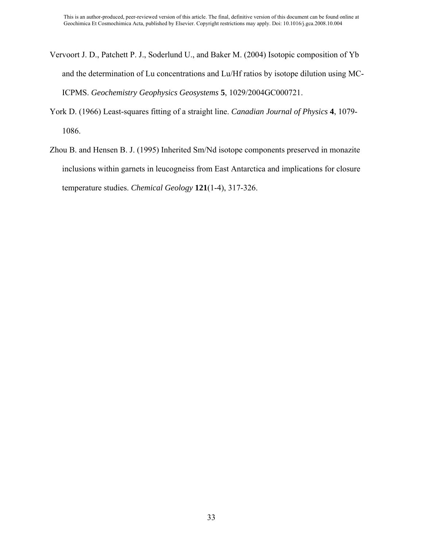- Vervoort J. D., Patchett P. J., Soderlund U., and Baker M. (2004) Isotopic composition of Yb and the determination of Lu concentrations and Lu/Hf ratios by isotope dilution using MC-ICPMS. *Geochemistry Geophysics Geosystems* **5**, 1029/2004GC000721.
- York D. (1966) Least-squares fitting of a straight line. *Canadian Journal of Physics* **4**, 1079- 1086.
- Zhou B. and Hensen B. J. (1995) Inherited Sm/Nd isotope components preserved in monazite inclusions within garnets in leucogneiss from East Antarctica and implications for closure temperature studies. *Chemical Geology* **121**(1-4), 317-326.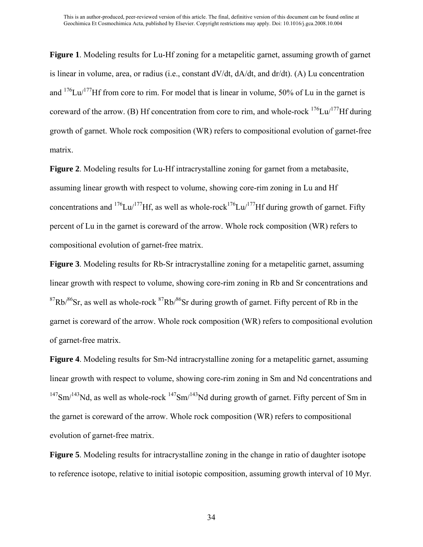**Figure 1**. Modeling results for Lu-Hf zoning for a metapelitic garnet, assuming growth of garnet is linear in volume, area, or radius (i.e., constant dV/dt, dA/dt, and dr/dt). (A) Lu concentration and  $176$ Lu/ $177$ Hf from core to rim. For model that is linear in volume, 50% of Lu in the garnet is coreward of the arrow. (B) Hf concentration from core to rim, and whole-rock  $176$ Lu/ $177$ Hf during growth of garnet. Whole rock composition (WR) refers to compositional evolution of garnet-free matrix.

**Figure 2**. Modeling results for Lu-Hf intracrystalline zoning for garnet from a metabasite, assuming linear growth with respect to volume, showing core-rim zoning in Lu and Hf concentrations and <sup>176</sup>Lu/<sup>177</sup>Hf, as well as whole-rock<sup>176</sup>Lu/<sup>177</sup>Hf during growth of garnet. Fifty percent of Lu in the garnet is coreward of the arrow. Whole rock composition (WR) refers to compositional evolution of garnet-free matrix.

**Figure 3**. Modeling results for Rb-Sr intracrystalline zoning for a metapelitic garnet, assuming linear growth with respect to volume, showing core-rim zoning in Rb and Sr concentrations and  $87Rb/86$ Sr, as well as whole-rock  $87Rb/86$ Sr during growth of garnet. Fifty percent of Rb in the garnet is coreward of the arrow. Whole rock composition (WR) refers to compositional evolution of garnet-free matrix.

**Figure 4**. Modeling results for Sm-Nd intracrystalline zoning for a metapelitic garnet, assuming linear growth with respect to volume, showing core-rim zoning in Sm and Nd concentrations and  $147$ Sm/ $143$ Nd, as well as whole-rock  $147$ Sm/ $143$ Nd during growth of garnet. Fifty percent of Sm in the garnet is coreward of the arrow. Whole rock composition (WR) refers to compositional evolution of garnet-free matrix.

**Figure 5**. Modeling results for intracrystalline zoning in the change in ratio of daughter isotope to reference isotope, relative to initial isotopic composition, assuming growth interval of 10 Myr.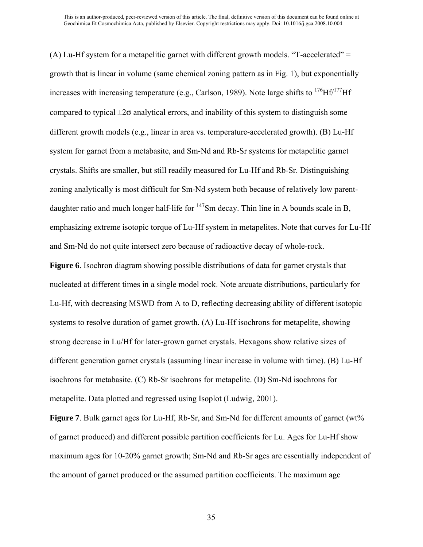(A) Lu-Hf system for a metapelitic garnet with different growth models. "T-accelerated" = growth that is linear in volume (same chemical zoning pattern as in Fig. 1), but exponentially increases with increasing temperature (e.g., Carlson, 1989). Note large shifts to  $176$ Hf/ $177$ Hf compared to typical  $\pm 2\sigma$  analytical errors, and inability of this system to distinguish some different growth models (e.g., linear in area vs. temperature-accelerated growth). (B) Lu-Hf system for garnet from a metabasite, and Sm-Nd and Rb-Sr systems for metapelitic garnet crystals. Shifts are smaller, but still readily measured for Lu-Hf and Rb-Sr. Distinguishing zoning analytically is most difficult for Sm-Nd system both because of relatively low parentdaughter ratio and much longer half-life for  $147$ Sm decay. Thin line in A bounds scale in B, emphasizing extreme isotopic torque of Lu-Hf system in metapelites. Note that curves for Lu-Hf and Sm-Nd do not quite intersect zero because of radioactive decay of whole-rock.

**Figure 6**. Isochron diagram showing possible distributions of data for garnet crystals that nucleated at different times in a single model rock. Note arcuate distributions, particularly for Lu-Hf, with decreasing MSWD from A to D, reflecting decreasing ability of different isotopic systems to resolve duration of garnet growth. (A) Lu-Hf isochrons for metapelite, showing strong decrease in Lu/Hf for later-grown garnet crystals. Hexagons show relative sizes of different generation garnet crystals (assuming linear increase in volume with time). (B) Lu-Hf isochrons for metabasite. (C) Rb-Sr isochrons for metapelite. (D) Sm-Nd isochrons for metapelite. Data plotted and regressed using Isoplot (Ludwig, 2001).

**Figure 7**. Bulk garnet ages for Lu-Hf, Rb-Sr, and Sm-Nd for different amounts of garnet (wt% of garnet produced) and different possible partition coefficients for Lu. Ages for Lu-Hf show maximum ages for 10-20% garnet growth; Sm-Nd and Rb-Sr ages are essentially independent of the amount of garnet produced or the assumed partition coefficients. The maximum age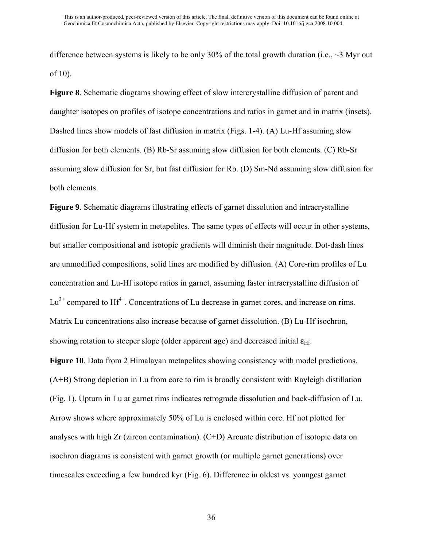difference between systems is likely to be only 30% of the total growth duration (i.e.,  $\sim$ 3 Myr out of 10).

**Figure 8**. Schematic diagrams showing effect of slow intercrystalline diffusion of parent and daughter isotopes on profiles of isotope concentrations and ratios in garnet and in matrix (insets). Dashed lines show models of fast diffusion in matrix (Figs. 1-4). (A) Lu-Hf assuming slow diffusion for both elements. (B) Rb-Sr assuming slow diffusion for both elements. (C) Rb-Sr assuming slow diffusion for Sr, but fast diffusion for Rb. (D) Sm-Nd assuming slow diffusion for both elements.

**Figure 9**. Schematic diagrams illustrating effects of garnet dissolution and intracrystalline diffusion for Lu-Hf system in metapelites. The same types of effects will occur in other systems, but smaller compositional and isotopic gradients will diminish their magnitude. Dot-dash lines are unmodified compositions, solid lines are modified by diffusion. (A) Core-rim profiles of Lu concentration and Lu-Hf isotope ratios in garnet, assuming faster intracrystalline diffusion of  $Lu^{3+}$  compared to  $Hf^{4+}$ . Concentrations of Lu decrease in garnet cores, and increase on rims. Matrix Lu concentrations also increase because of garnet dissolution. (B) Lu-Hf isochron, showing rotation to steeper slope (older apparent age) and decreased initial  $\varepsilon_{\text{Hf}}$ .

**Figure 10**. Data from 2 Himalayan metapelites showing consistency with model predictions. (A+B) Strong depletion in Lu from core to rim is broadly consistent with Rayleigh distillation (Fig. 1). Upturn in Lu at garnet rims indicates retrograde dissolution and back-diffusion of Lu. Arrow shows where approximately 50% of Lu is enclosed within core. Hf not plotted for analyses with high Zr (zircon contamination). (C+D) Arcuate distribution of isotopic data on isochron diagrams is consistent with garnet growth (or multiple garnet generations) over timescales exceeding a few hundred kyr (Fig. 6). Difference in oldest vs. youngest garnet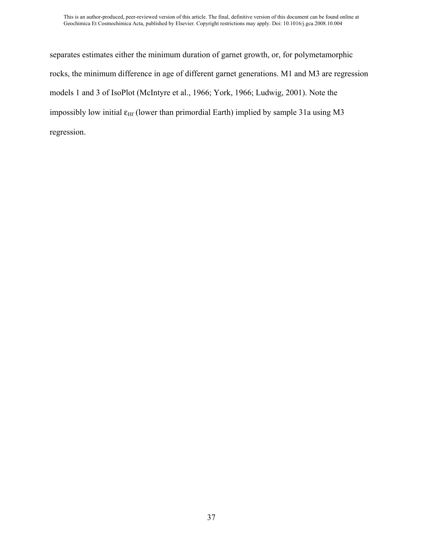separates estimates either the minimum duration of garnet growth, or, for polymetamorphic rocks, the minimum difference in age of different garnet generations. M1 and M3 are regression models 1 and 3 of IsoPlot (McIntyre et al., 1966; York, 1966; Ludwig, 2001). Note the impossibly low initial  $\varepsilon$ <sub>Hf</sub> (lower than primordial Earth) implied by sample 31a using M3 regression.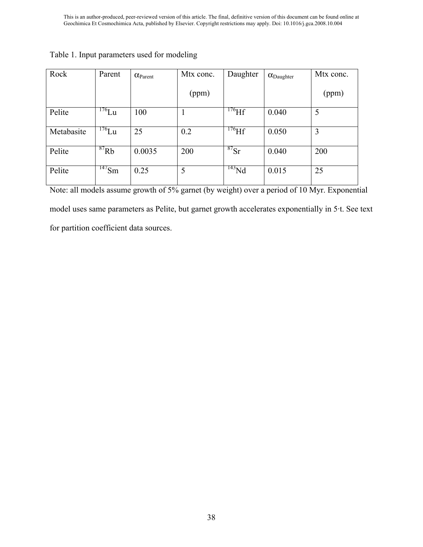| Rock       | Parent      | $\alpha_{\text{Parent}}$ | Mtx conc. | Daughter    | $\alpha_{\text{Daughter}}$ | Mtx conc. |
|------------|-------------|--------------------------|-----------|-------------|----------------------------|-----------|
|            |             |                          | (ppm)     |             |                            | (ppm)     |
| Pelite     | $^{176}$ Lu | 100                      |           | $^{176}$ Hf | 0.040                      | 5         |
| Metabasite | $^{176}$ Lu | 25                       | 0.2       | $^{176}$ Hf | 0.050                      | 3         |
| Pelite     | ${}^{87}Rb$ | 0.0035                   | 200       | $^{87}Sr$   | 0.040                      | 200       |
| Pelite     | $147$ Sm    | 0.25                     | 5         | $^{143}Nd$  | 0.015                      | 25        |

Table 1. Input parameters used for modeling

Note: all models assume growth of 5% garnet (by weight) over a period of 10 Myr. Exponential model uses same parameters as Pelite, but garnet growth accelerates exponentially in 5·t. See text for partition coefficient data sources.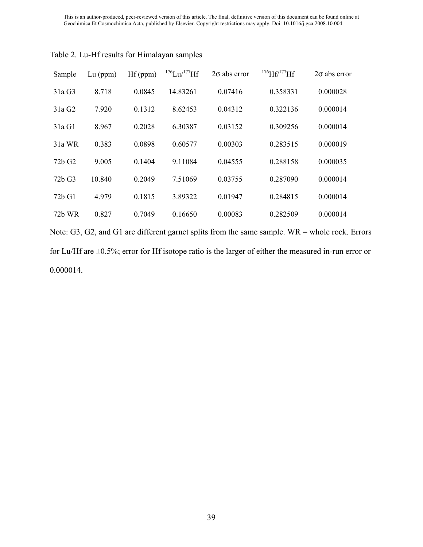| Sample             | $Lu$ (ppm) | Hf(ppm) | $176$ Lu/ $177$ Hf | $2\sigma$ abs error | $^{176}$ Hf/ $^{177}$ Hf | $2\sigma$ abs error |
|--------------------|------------|---------|--------------------|---------------------|--------------------------|---------------------|
| 31a G3             | 8.718      | 0.0845  | 14.83261           | 0.07416             | 0.358331                 | 0.000028            |
| 31a G2             | 7.920      | 0.1312  | 8.62453            | 0.04312             | 0.322136                 | 0.000014            |
| 31a G1             | 8.967      | 0.2028  | 6.30387            | 0.03152             | 0.309256                 | 0.000014            |
| 31a WR             | 0.383      | 0.0898  | 0.60577            | 0.00303             | 0.283515                 | 0.000019            |
| 72b G <sub>2</sub> | 9.005      | 0.1404  | 9.11084            | 0.04555             | 0.288158                 | 0.000035            |
| 72b G3             | 10.840     | 0.2049  | 7.51069            | 0.03755             | 0.287090                 | 0.000014            |
| 72b G1             | 4.979      | 0.1815  | 3.89322            | 0.01947             | 0.284815                 | 0.000014            |
| 72b WR             | 0.827      | 0.7049  | 0.16650            | 0.00083             | 0.282509                 | 0.000014            |

Table 2. Lu-Hf results for Himalayan samples

Note: G3, G2, and G1 are different garnet splits from the same sample. WR = whole rock. Errors for Lu/Hf are ±0.5%; error for Hf isotope ratio is the larger of either the measured in-run error or 0.000014.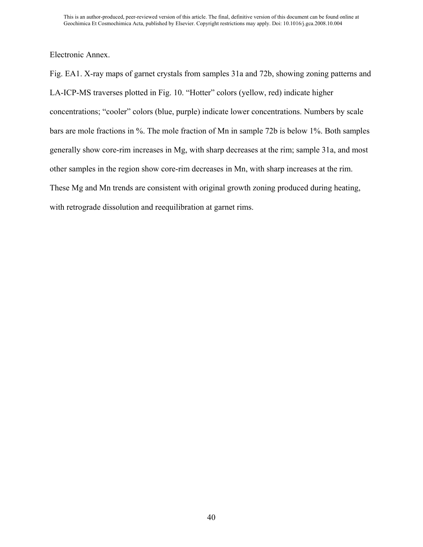Electronic Annex.

Fig. EA1. X-ray maps of garnet crystals from samples 31a and 72b, showing zoning patterns and LA-ICP-MS traverses plotted in Fig. 10. "Hotter" colors (yellow, red) indicate higher concentrations; "cooler" colors (blue, purple) indicate lower concentrations. Numbers by scale bars are mole fractions in %. The mole fraction of Mn in sample 72b is below 1%. Both samples generally show core-rim increases in Mg, with sharp decreases at the rim; sample 31a, and most other samples in the region show core-rim decreases in Mn, with sharp increases at the rim. These Mg and Mn trends are consistent with original growth zoning produced during heating, with retrograde dissolution and reequilibration at garnet rims.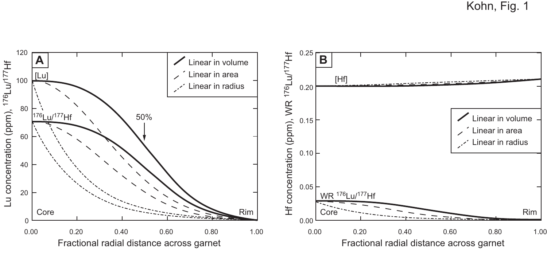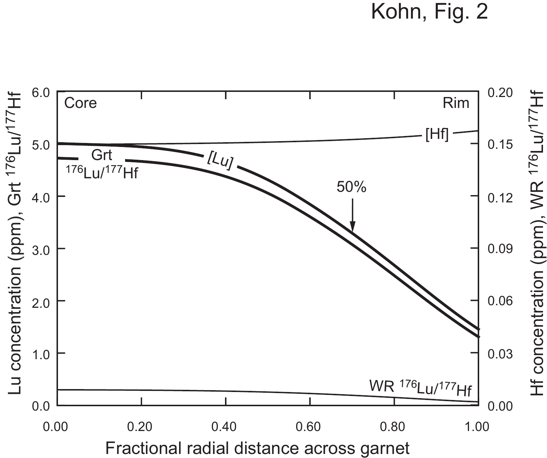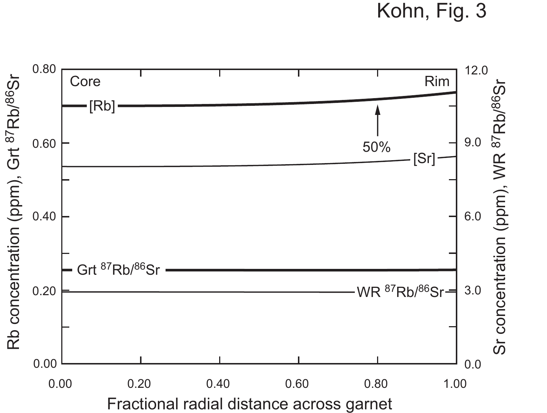Kohn, Fig. 3

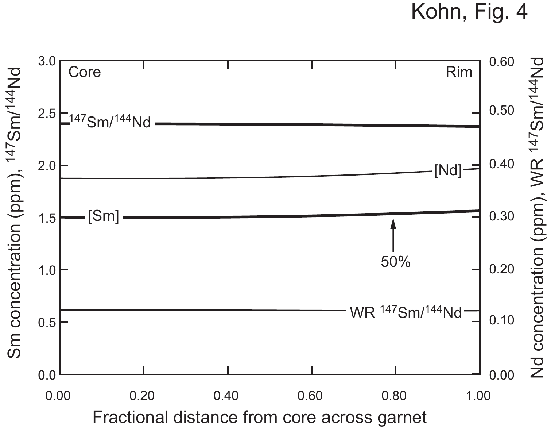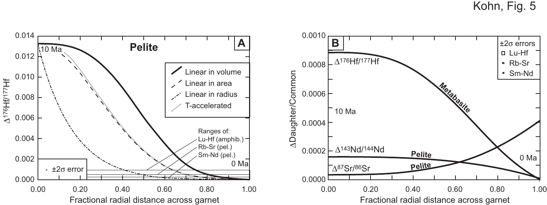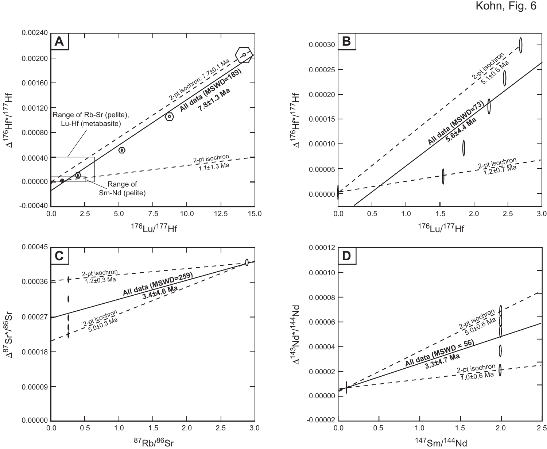Kohn, Fig. 6

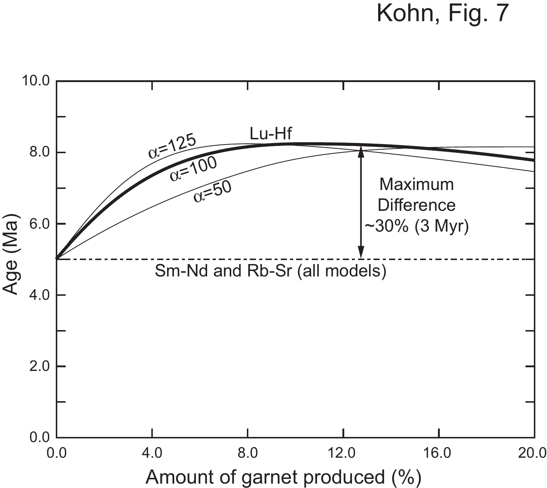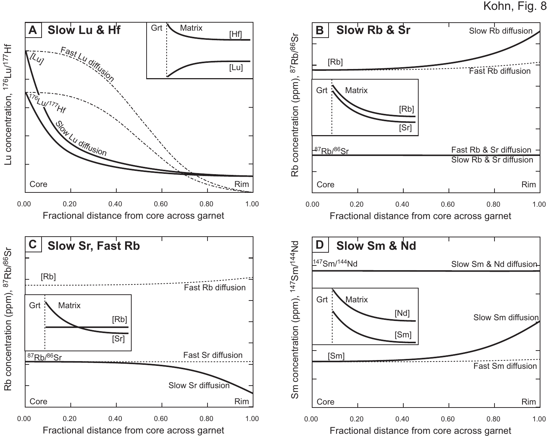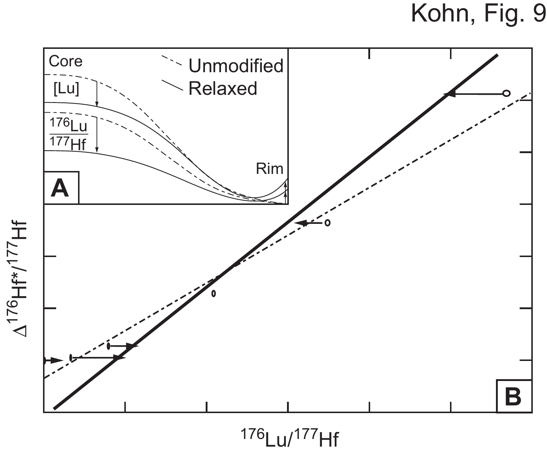

 $\Delta^{176}$ Hf\*/ $^{177}$ Hf

176Lu/177Hf